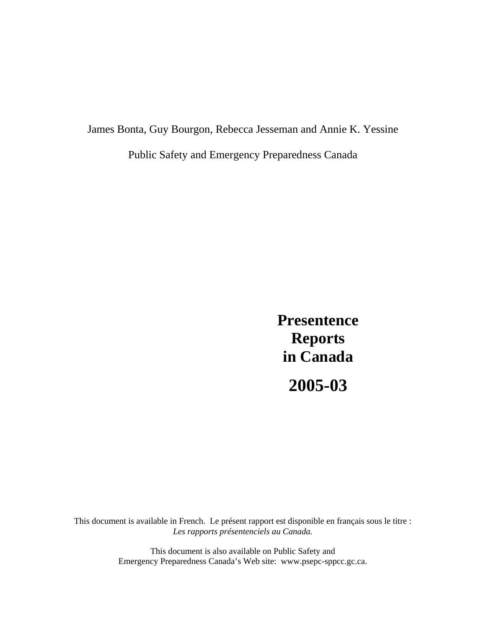James Bonta, Guy Bourgon, Rebecca Jesseman and Annie K. Yessine Public Safety and Emergency Preparedness Canada

> **Presentence Reports in Canada 2005-03**

This document is available in French. Le présent rapport est disponible en français sous le titre : *Les rapports présentenciels au Canada.*

> This document is also available on Public Safety and Emergency Preparedness Canada's Web site: www.psepc-sppcc.gc.ca.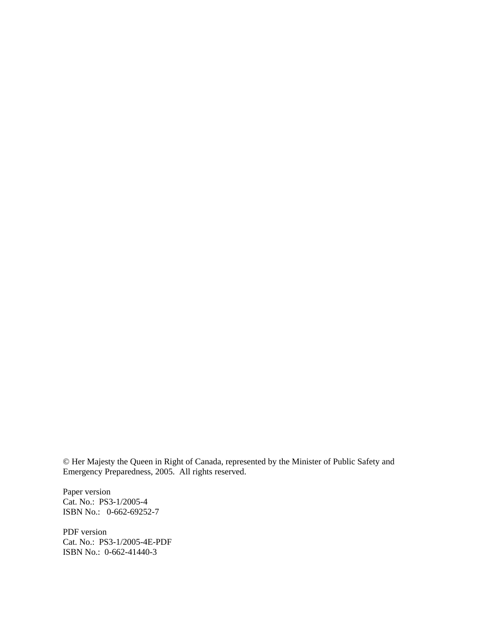© Her Majesty the Queen in Right of Canada, represented by the Minister of Public Safety and Emergency Preparedness, 2005. All rights reserved.

Paper version Cat. No.: PS3-1/2005-4 ISBN No.: 0-662-69252-7

PDF version Cat. No.: PS3-1/2005-4E-PDF ISBN No.: 0-662-41440-3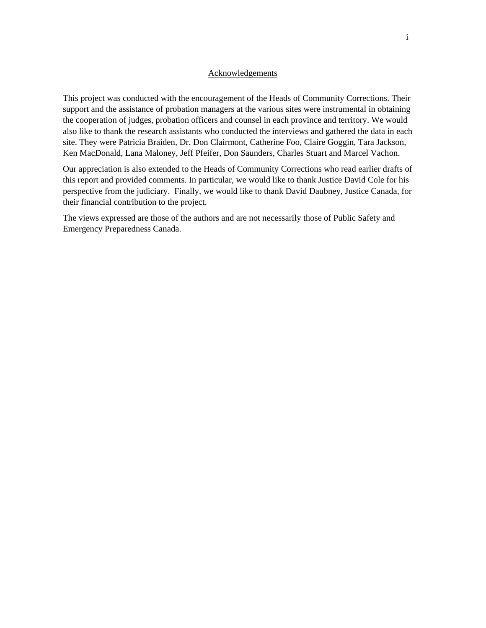#### Acknowledgements

This project was conducted with the encouragement of the Heads of Community Corrections. Their support and the assistance of probation managers at the various sites were instrumental in obtaining the cooperation of judges, probation officers and counsel in each province and territory. We would also like to thank the research assistants who conducted the interviews and gathered the data in each site. They were Patricia Braiden, Dr. Don Clairmont, Catherine Foo, Claire Goggin, Tara Jackson, Ken MacDonald, Lana Maloney, Jeff Pfeifer, Don Saunders, Charles Stuart and Marcel Vachon.

Our appreciation is also extended to the Heads of Community Corrections who read earlier drafts of this report and provided comments. In particular, we would like to thank Justice David Cole for his perspective from the judiciary. Finally, we would like to thank David Daubney, Justice Canada, for their financial contribution to the project.

The views expressed are those of the authors and are not necessarily those of Public Safety and Emergency Preparedness Canada.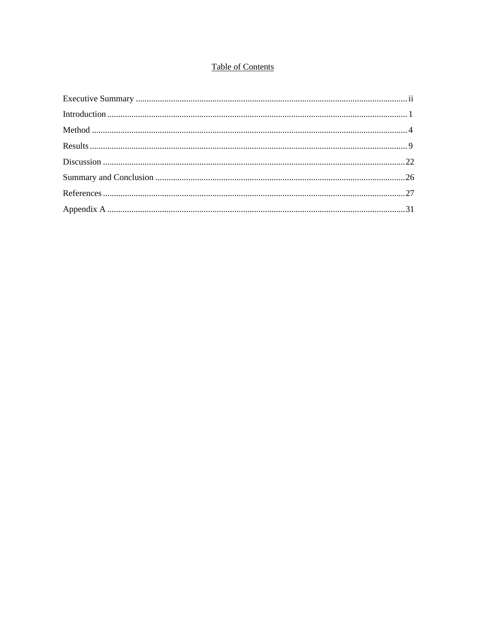# **Table of Contents**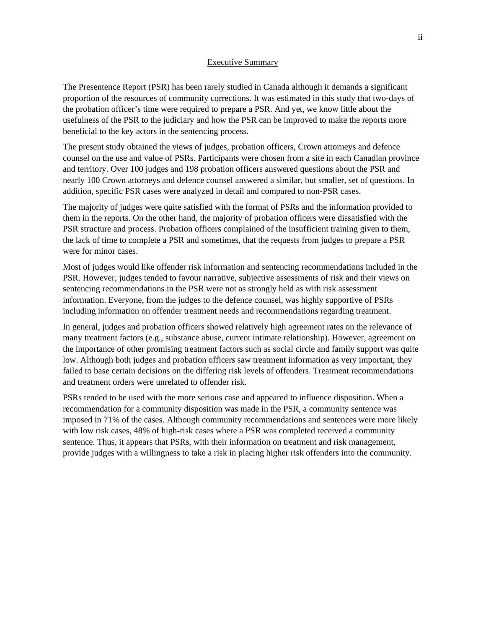#### Executive Summary

The Presentence Report (PSR) has been rarely studied in Canada although it demands a significant proportion of the resources of community corrections. It was estimated in this study that two-days of the probation officer's time were required to prepare a PSR. And yet, we know little about the usefulness of the PSR to the judiciary and how the PSR can be improved to make the reports more beneficial to the key actors in the sentencing process.

The present study obtained the views of judges, probation officers, Crown attorneys and defence counsel on the use and value of PSRs. Participants were chosen from a site in each Canadian province and territory. Over 100 judges and 198 probation officers answered questions about the PSR and nearly 100 Crown attorneys and defence counsel answered a similar, but smaller, set of questions. In addition, specific PSR cases were analyzed in detail and compared to non-PSR cases.

The majority of judges were quite satisfied with the format of PSRs and the information provided to them in the reports. On the other hand, the majority of probation officers were dissatisfied with the PSR structure and process. Probation officers complained of the insufficient training given to them, the lack of time to complete a PSR and sometimes, that the requests from judges to prepare a PSR were for minor cases.

Most of judges would like offender risk information and sentencing recommendations included in the PSR. However, judges tended to favour narrative, subjective assessments of risk and their views on sentencing recommendations in the PSR were not as strongly held as with risk assessment information. Everyone, from the judges to the defence counsel, was highly supportive of PSRs including information on offender treatment needs and recommendations regarding treatment.

In general, judges and probation officers showed relatively high agreement rates on the relevance of many treatment factors (e.g., substance abuse, current intimate relationship). However, agreement on the importance of other promising treatment factors such as social circle and family support was quite low. Although both judges and probation officers saw treatment information as very important, they failed to base certain decisions on the differing risk levels of offenders. Treatment recommendations and treatment orders were unrelated to offender risk.

PSRs tended to be used with the more serious case and appeared to influence disposition. When a recommendation for a community disposition was made in the PSR, a community sentence was imposed in 71% of the cases. Although community recommendations and sentences were more likely with low risk cases, 48% of high-risk cases where a PSR was completed received a community sentence. Thus, it appears that PSRs, with their information on treatment and risk management, provide judges with a willingness to take a risk in placing higher risk offenders into the community.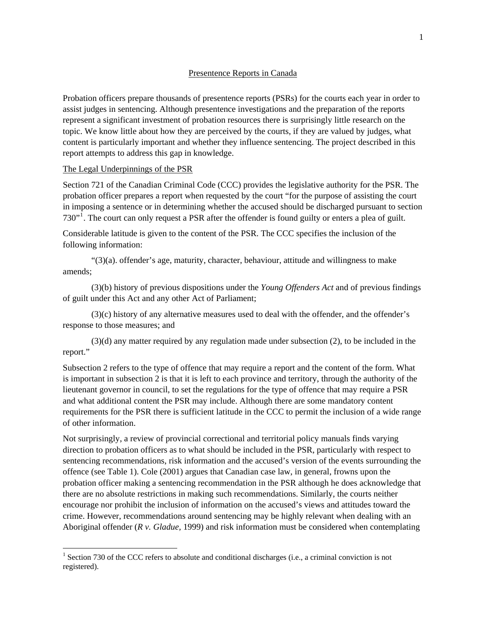#### Presentence Reports in Canada

Probation officers prepare thousands of presentence reports (PSRs) for the courts each year in order to assist judges in sentencing. Although presentence investigations and the preparation of the reports represent a significant investment of probation resources there is surprisingly little research on the topic. We know little about how they are perceived by the courts, if they are valued by judges, what content is particularly important and whether they influence sentencing. The project described in this report attempts to address this gap in knowledge.

#### The Legal Underpinnings of the PSR

 $\overline{a}$ 

Section 721 of the Canadian Criminal Code (CCC) provides the legislative authority for the PSR. The probation officer prepares a report when requested by the court "for the purpose of assisting the court in imposing a sentence or in determining whether the accused should be discharged pursuant to section 730"<sup>[1](#page-8-0)</sup>. The court can only request a PSR after the offender is found guilty or enters a plea of guilt.

Considerable latitude is given to the content of the PSR. The CCC specifies the inclusion of the following information:

 "(3)(a). offender's age, maturity, character, behaviour, attitude and willingness to make amends;

 (3)(b) history of previous dispositions under the *Young Offenders Act* and of previous findings of guilt under this Act and any other Act of Parliament;

 (3)(c) history of any alternative measures used to deal with the offender, and the offender's response to those measures; and

 (3)(d) any matter required by any regulation made under subsection (2), to be included in the report."

Subsection 2 refers to the type of offence that may require a report and the content of the form. What is important in subsection 2 is that it is left to each province and territory, through the authority of the lieutenant governor in council, to set the regulations for the type of offence that may require a PSR and what additional content the PSR may include. Although there are some mandatory content requirements for the PSR there is sufficient latitude in the CCC to permit the inclusion of a wide range of other information.

Not surprisingly, a review of provincial correctional and territorial policy manuals finds varying direction to probation officers as to what should be included in the PSR, particularly with respect to sentencing recommendations, risk information and the accused's version of the events surrounding the offence (see Table 1). Cole (2001) argues that Canadian case law, in general, frowns upon the probation officer making a sentencing recommendation in the PSR although he does acknowledge that there are no absolute restrictions in making such recommendations. Similarly, the courts neither encourage nor prohibit the inclusion of information on the accused's views and attitudes toward the crime. However, recommendations around sentencing may be highly relevant when dealing with an Aboriginal offender (*R v. Gladue,* 1999) and risk information must be considered when contemplating

<span id="page-8-0"></span><sup>&</sup>lt;sup>1</sup> Section 730 of the CCC refers to absolute and conditional discharges (i.e., a criminal conviction is not registered).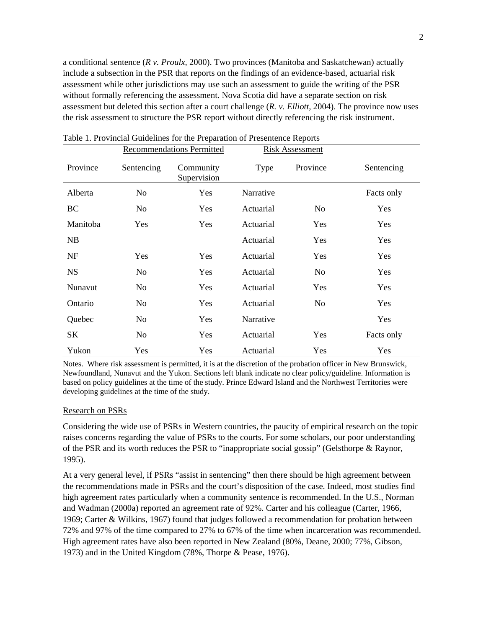a conditional sentence (*R v. Proulx,* 2000). Two provinces (Manitoba and Saskatchewan) actually include a subsection in the PSR that reports on the findings of an evidence-based, actuarial risk assessment while other jurisdictions may use such an assessment to guide the writing of the PSR without formally referencing the assessment. Nova Scotia did have a separate section on risk assessment but deleted this section after a court challenge (*R. v. Elliott,* 2004). The province now uses the risk assessment to structure the PSR report without directly referencing the risk instrument.

|           |                | <b>Recommendations Permitted</b> | <b>Risk Assessment</b> |          |            |
|-----------|----------------|----------------------------------|------------------------|----------|------------|
| Province  | Sentencing     | Community<br>Supervision         | Type                   | Province | Sentencing |
| Alberta   | N <sub>o</sub> | Yes                              | Narrative              |          | Facts only |
| BC        | No             | Yes                              | Actuarial              | No.      | Yes        |
| Manitoba  | Yes            | Yes                              | Actuarial              | Yes      | Yes        |
| NB        |                |                                  | Actuarial              | Yes      | Yes        |
| NF        | Yes            | Yes                              | Actuarial              | Yes      | Yes        |
| <b>NS</b> | N <sub>0</sub> | Yes                              | Actuarial              | No.      | Yes        |
| Nunavut   | No             | Yes                              | Actuarial              | Yes      | Yes        |
| Ontario   | No             | Yes                              | Actuarial              | No.      | Yes        |
| Quebec    | N <sub>o</sub> | Yes                              | Narrative              |          | Yes        |
| SK        | No             | Yes                              | Actuarial              | Yes      | Facts only |
| Yukon     | Yes            | Yes                              | Actuarial              | Yes      | Yes        |

Table 1. Provincial Guidelines for the Preparation of Presentence Reports

Notes. Where risk assessment is permitted, it is at the discretion of the probation officer in New Brunswick, Newfoundland, Nunavut and the Yukon. Sections left blank indicate no clear policy/guideline. Information is based on policy guidelines at the time of the study. Prince Edward Island and the Northwest Territories were developing guidelines at the time of the study.

#### Research on PSRs

Considering the wide use of PSRs in Western countries, the paucity of empirical research on the topic raises concerns regarding the value of PSRs to the courts. For some scholars, our poor understanding of the PSR and its worth reduces the PSR to "inappropriate social gossip" (Gelsthorpe & Raynor, 1995).

At a very general level, if PSRs "assist in sentencing" then there should be high agreement between the recommendations made in PSRs and the court's disposition of the case. Indeed, most studies find high agreement rates particularly when a community sentence is recommended. In the U.S., Norman and Wadman (2000a) reported an agreement rate of 92%. Carter and his colleague (Carter, 1966, 1969; Carter & Wilkins, 1967) found that judges followed a recommendation for probation between 72% and 97% of the time compared to 27% to 67% of the time when incarceration was recommended. High agreement rates have also been reported in New Zealand (80%, Deane, 2000; 77%, Gibson, 1973) and in the United Kingdom (78%, Thorpe & Pease, 1976).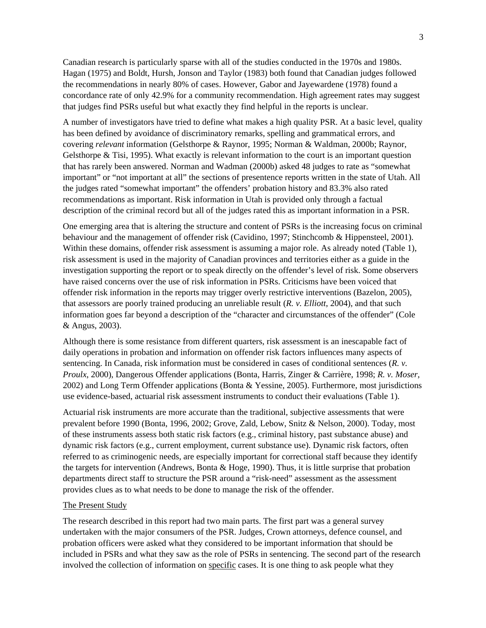Canadian research is particularly sparse with all of the studies conducted in the 1970s and 1980s. Hagan (1975) and Boldt, Hursh, Jonson and Taylor (1983) both found that Canadian judges followed the recommendations in nearly 80% of cases. However, Gabor and Jayewardene (1978) found a concordance rate of only 42.9% for a community recommendation. High agreement rates may suggest that judges find PSRs useful but what exactly they find helpful in the reports is unclear.

A number of investigators have tried to define what makes a high quality PSR. At a basic level, quality has been defined by avoidance of discriminatory remarks, spelling and grammatical errors, and covering *relevant* information (Gelsthorpe & Raynor, 1995; Norman & Waldman, 2000b; Raynor, Gelsthorpe & Tisi, 1995). What exactly is relevant information to the court is an important question that has rarely been answered. Norman and Wadman (2000b) asked 48 judges to rate as "somewhat important" or "not important at all" the sections of presentence reports written in the state of Utah. All the judges rated "somewhat important" the offenders' probation history and 83.3% also rated recommendations as important. Risk information in Utah is provided only through a factual description of the criminal record but all of the judges rated this as important information in a PSR.

One emerging area that is altering the structure and content of PSRs is the increasing focus on criminal behaviour and the management of offender risk (Cavidino, 1997; Stinchcomb & Hippensteel, 2001). Within these domains, offender risk assessment is assuming a major role. As already noted (Table 1), risk assessment is used in the majority of Canadian provinces and territories either as a guide in the investigation supporting the report or to speak directly on the offender's level of risk. Some observers have raised concerns over the use of risk information in PSRs. Criticisms have been voiced that offender risk information in the reports may trigger overly restrictive interventions (Bazelon, 2005), that assessors are poorly trained producing an unreliable result (*R. v. Elliott*, 2004), and that such information goes far beyond a description of the "character and circumstances of the offender" (Cole & Angus, 2003).

Although there is some resistance from different quarters, risk assessment is an inescapable fact of daily operations in probation and information on offender risk factors influences many aspects of sentencing. In Canada, risk information must be considered in cases of conditional sentences (*R. v. Proulx*, 2000), Dangerous Offender applications (Bonta, Harris, Zinger & Carrière, 1998; *R. v. Moser*, 2002) and Long Term Offender applications (Bonta & Yessine, 2005). Furthermore, most jurisdictions use evidence-based, actuarial risk assessment instruments to conduct their evaluations (Table 1).

Actuarial risk instruments are more accurate than the traditional, subjective assessments that were prevalent before 1990 (Bonta, 1996, 2002; Grove, Zald, Lebow, Snitz & Nelson, 2000). Today, most of these instruments assess both static risk factors (e.g., criminal history, past substance abuse) and dynamic risk factors (e.g., current employment, current substance use). Dynamic risk factors, often referred to as criminogenic needs, are especially important for correctional staff because they identify the targets for intervention (Andrews, Bonta  $\&$  Hoge, 1990). Thus, it is little surprise that probation departments direct staff to structure the PSR around a "risk-need" assessment as the assessment provides clues as to what needs to be done to manage the risk of the offender.

## The Present Study

The research described in this report had two main parts. The first part was a general survey undertaken with the major consumers of the PSR. Judges, Crown attorneys, defence counsel, and probation officers were asked what they considered to be important information that should be included in PSRs and what they saw as the role of PSRs in sentencing. The second part of the research involved the collection of information on specific cases. It is one thing to ask people what they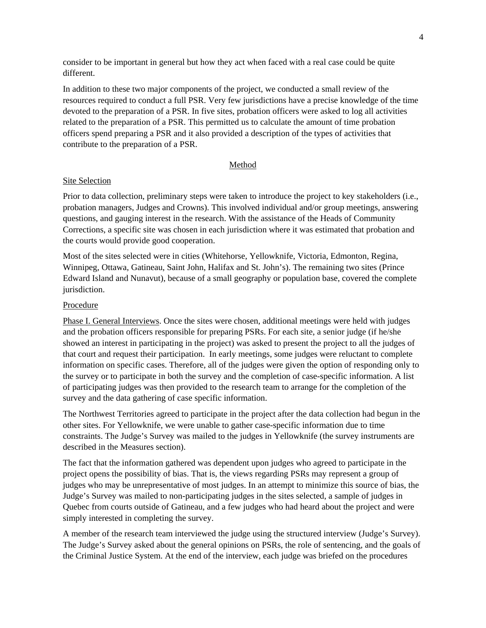consider to be important in general but how they act when faced with a real case could be quite different.

In addition to these two major components of the project, we conducted a small review of the resources required to conduct a full PSR. Very few jurisdictions have a precise knowledge of the time devoted to the preparation of a PSR. In five sites, probation officers were asked to log all activities related to the preparation of a PSR. This permitted us to calculate the amount of time probation officers spend preparing a PSR and it also provided a description of the types of activities that contribute to the preparation of a PSR.

## Method

#### Site Selection

Prior to data collection, preliminary steps were taken to introduce the project to key stakeholders (i.e., probation managers, Judges and Crowns). This involved individual and/or group meetings, answering questions, and gauging interest in the research. With the assistance of the Heads of Community Corrections, a specific site was chosen in each jurisdiction where it was estimated that probation and the courts would provide good cooperation.

Most of the sites selected were in cities (Whitehorse, Yellowknife, Victoria, Edmonton, Regina, Winnipeg, Ottawa, Gatineau, Saint John, Halifax and St. John's). The remaining two sites (Prince Edward Island and Nunavut), because of a small geography or population base, covered the complete jurisdiction.

## Procedure

Phase I. General Interviews. Once the sites were chosen, additional meetings were held with judges and the probation officers responsible for preparing PSRs. For each site, a senior judge (if he/she showed an interest in participating in the project) was asked to present the project to all the judges of that court and request their participation. In early meetings, some judges were reluctant to complete information on specific cases. Therefore, all of the judges were given the option of responding only to the survey or to participate in both the survey and the completion of case-specific information. A list of participating judges was then provided to the research team to arrange for the completion of the survey and the data gathering of case specific information.

The Northwest Territories agreed to participate in the project after the data collection had begun in the other sites. For Yellowknife, we were unable to gather case-specific information due to time constraints. The Judge's Survey was mailed to the judges in Yellowknife (the survey instruments are described in the Measures section).

The fact that the information gathered was dependent upon judges who agreed to participate in the project opens the possibility of bias. That is, the views regarding PSRs may represent a group of judges who may be unrepresentative of most judges. In an attempt to minimize this source of bias, the Judge's Survey was mailed to non-participating judges in the sites selected, a sample of judges in Quebec from courts outside of Gatineau, and a few judges who had heard about the project and were simply interested in completing the survey.

A member of the research team interviewed the judge using the structured interview (Judge's Survey). The Judge's Survey asked about the general opinions on PSRs, the role of sentencing, and the goals of the Criminal Justice System. At the end of the interview, each judge was briefed on the procedures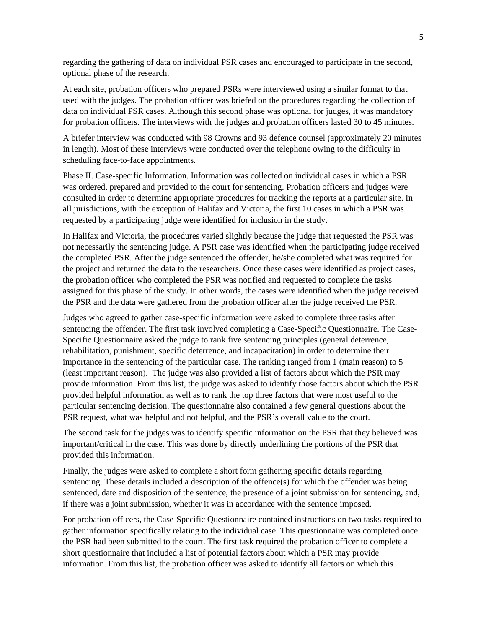regarding the gathering of data on individual PSR cases and encouraged to participate in the second, optional phase of the research.

At each site, probation officers who prepared PSRs were interviewed using a similar format to that used with the judges. The probation officer was briefed on the procedures regarding the collection of data on individual PSR cases. Although this second phase was optional for judges, it was mandatory for probation officers. The interviews with the judges and probation officers lasted 30 to 45 minutes.

A briefer interview was conducted with 98 Crowns and 93 defence counsel (approximately 20 minutes in length). Most of these interviews were conducted over the telephone owing to the difficulty in scheduling face-to-face appointments.

Phase II. Case-specific Information. Information was collected on individual cases in which a PSR was ordered, prepared and provided to the court for sentencing. Probation officers and judges were consulted in order to determine appropriate procedures for tracking the reports at a particular site. In all jurisdictions, with the exception of Halifax and Victoria, the first 10 cases in which a PSR was requested by a participating judge were identified for inclusion in the study.

In Halifax and Victoria, the procedures varied slightly because the judge that requested the PSR was not necessarily the sentencing judge. A PSR case was identified when the participating judge received the completed PSR. After the judge sentenced the offender, he/she completed what was required for the project and returned the data to the researchers. Once these cases were identified as project cases, the probation officer who completed the PSR was notified and requested to complete the tasks assigned for this phase of the study. In other words, the cases were identified when the judge received the PSR and the data were gathered from the probation officer after the judge received the PSR.

Judges who agreed to gather case-specific information were asked to complete three tasks after sentencing the offender. The first task involved completing a Case-Specific Questionnaire. The Case-Specific Questionnaire asked the judge to rank five sentencing principles (general deterrence, rehabilitation, punishment, specific deterrence, and incapacitation) in order to determine their importance in the sentencing of the particular case. The ranking ranged from 1 (main reason) to 5 (least important reason). The judge was also provided a list of factors about which the PSR may provide information. From this list, the judge was asked to identify those factors about which the PSR provided helpful information as well as to rank the top three factors that were most useful to the particular sentencing decision. The questionnaire also contained a few general questions about the PSR request, what was helpful and not helpful, and the PSR's overall value to the court.

The second task for the judges was to identify specific information on the PSR that they believed was important/critical in the case. This was done by directly underlining the portions of the PSR that provided this information.

Finally, the judges were asked to complete a short form gathering specific details regarding sentencing. These details included a description of the offence(s) for which the offender was being sentenced, date and disposition of the sentence, the presence of a joint submission for sentencing, and, if there was a joint submission, whether it was in accordance with the sentence imposed.

For probation officers, the Case-Specific Questionnaire contained instructions on two tasks required to gather information specifically relating to the individual case. This questionnaire was completed once the PSR had been submitted to the court. The first task required the probation officer to complete a short questionnaire that included a list of potential factors about which a PSR may provide information. From this list, the probation officer was asked to identify all factors on which this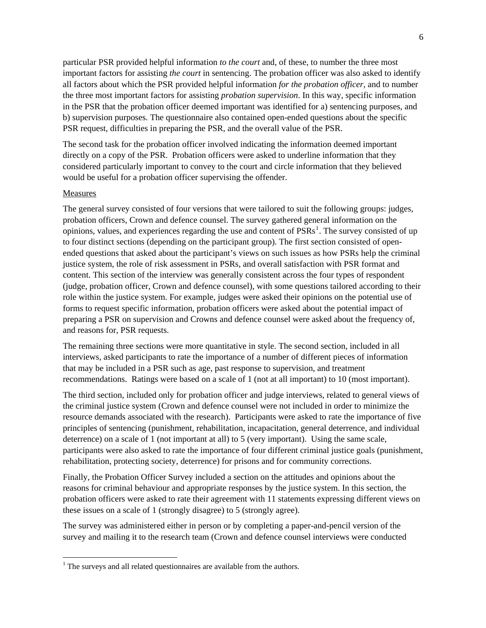particular PSR provided helpful information *to the court* and, of these, to number the three most important factors for assisting *the court* in sentencing. The probation officer was also asked to identify all factors about which the PSR provided helpful information *for the probation officer*, and to number the three most important factors for assisting *probation supervision*. In this way, specific information in the PSR that the probation officer deemed important was identified for a) sentencing purposes, and b) supervision purposes. The questionnaire also contained open-ended questions about the specific PSR request, difficulties in preparing the PSR, and the overall value of the PSR.

The second task for the probation officer involved indicating the information deemed important directly on a copy of the PSR. Probation officers were asked to underline information that they considered particularly important to convey to the court and circle information that they believed would be useful for a probation officer supervising the offender.

#### Measures

 $\overline{a}$ 

The general survey consisted of four versions that were tailored to suit the following groups: judges, probation officers, Crown and defence counsel. The survey gathered general information on the opinions, values, and experiences regarding the use and content of  $PSRs<sup>1</sup>$  $PSRs<sup>1</sup>$  $PSRs<sup>1</sup>$ . The survey consisted of up to four distinct sections (depending on the participant group). The first section consisted of openended questions that asked about the participant's views on such issues as how PSRs help the criminal justice system, the role of risk assessment in PSRs, and overall satisfaction with PSR format and content. This section of the interview was generally consistent across the four types of respondent (judge, probation officer, Crown and defence counsel), with some questions tailored according to their role within the justice system. For example, judges were asked their opinions on the potential use of forms to request specific information, probation officers were asked about the potential impact of preparing a PSR on supervision and Crowns and defence counsel were asked about the frequency of, and reasons for, PSR requests.

The remaining three sections were more quantitative in style. The second section, included in all interviews, asked participants to rate the importance of a number of different pieces of information that may be included in a PSR such as age, past response to supervision, and treatment recommendations. Ratings were based on a scale of 1 (not at all important) to 10 (most important).

The third section, included only for probation officer and judge interviews, related to general views of the criminal justice system (Crown and defence counsel were not included in order to minimize the resource demands associated with the research). Participants were asked to rate the importance of five principles of sentencing (punishment, rehabilitation, incapacitation, general deterrence, and individual deterrence) on a scale of 1 (not important at all) to 5 (very important). Using the same scale, participants were also asked to rate the importance of four different criminal justice goals (punishment, rehabilitation, protecting society, deterrence) for prisons and for community corrections.

Finally, the Probation Officer Survey included a section on the attitudes and opinions about the reasons for criminal behaviour and appropriate responses by the justice system. In this section, the probation officers were asked to rate their agreement with 11 statements expressing different views on these issues on a scale of 1 (strongly disagree) to 5 (strongly agree).

The survey was administered either in person or by completing a paper-and-pencil version of the survey and mailing it to the research team (Crown and defence counsel interviews were conducted

<span id="page-13-0"></span> $<sup>1</sup>$  The surveys and all related questionnaires are available from the authors.</sup>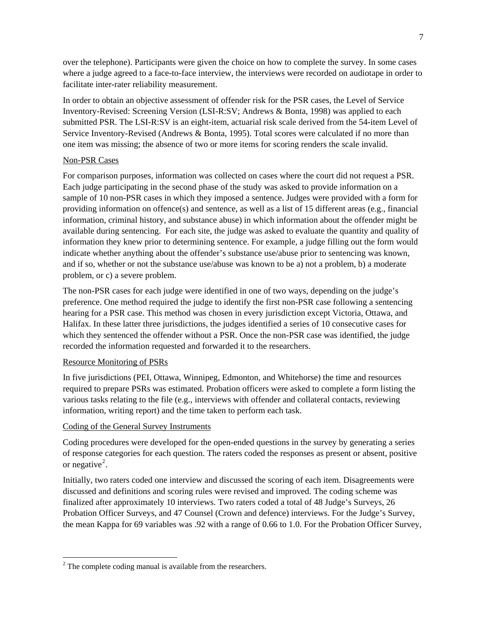over the telephone). Participants were given the choice on how to complete the survey. In some cases where a judge agreed to a face-to-face interview, the interviews were recorded on audiotape in order to facilitate inter-rater reliability measurement.

In order to obtain an objective assessment of offender risk for the PSR cases, the Level of Service Inventory-Revised: Screening Version (LSI-R:SV; Andrews & Bonta, 1998) was applied to each submitted PSR. The LSI-R:SV is an eight-item, actuarial risk scale derived from the 54-item Level of Service Inventory-Revised (Andrews & Bonta, 1995). Total scores were calculated if no more than one item was missing; the absence of two or more items for scoring renders the scale invalid.

## Non-PSR Cases

For comparison purposes, information was collected on cases where the court did not request a PSR. Each judge participating in the second phase of the study was asked to provide information on a sample of 10 non-PSR cases in which they imposed a sentence. Judges were provided with a form for providing information on offence(s) and sentence, as well as a list of 15 different areas (e.g., financial information, criminal history, and substance abuse) in which information about the offender might be available during sentencing. For each site, the judge was asked to evaluate the quantity and quality of information they knew prior to determining sentence. For example, a judge filling out the form would indicate whether anything about the offender's substance use/abuse prior to sentencing was known, and if so, whether or not the substance use/abuse was known to be a) not a problem, b) a moderate problem, or c) a severe problem.

The non-PSR cases for each judge were identified in one of two ways, depending on the judge's preference. One method required the judge to identify the first non-PSR case following a sentencing hearing for a PSR case. This method was chosen in every jurisdiction except Victoria, Ottawa, and Halifax. In these latter three jurisdictions, the judges identified a series of 10 consecutive cases for which they sentenced the offender without a PSR. Once the non-PSR case was identified, the judge recorded the information requested and forwarded it to the researchers.

## Resource Monitoring of PSRs

 $\overline{a}$ 

In five jurisdictions (PEI, Ottawa, Winnipeg, Edmonton, and Whitehorse) the time and resources required to prepare PSRs was estimated. Probation officers were asked to complete a form listing the various tasks relating to the file (e.g., interviews with offender and collateral contacts, reviewing information, writing report) and the time taken to perform each task.

## Coding of the General Survey Instruments

Coding procedures were developed for the open-ended questions in the survey by generating a series of response categories for each question. The raters coded the responses as present or absent, positive or negative<sup>[2](#page-14-0)</sup>.

Initially, two raters coded one interview and discussed the scoring of each item. Disagreements were discussed and definitions and scoring rules were revised and improved. The coding scheme was finalized after approximately 10 interviews. Two raters coded a total of 48 Judge's Surveys, 26 Probation Officer Surveys, and 47 Counsel (Crown and defence) interviews. For the Judge's Survey, the mean Kappa for 69 variables was .92 with a range of 0.66 to 1.0. For the Probation Officer Survey,

<span id="page-14-0"></span> $2^2$  The complete coding manual is available from the researchers.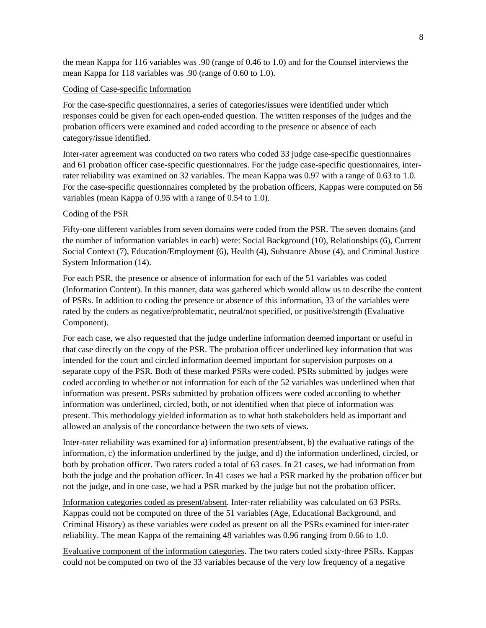the mean Kappa for 116 variables was .90 (range of 0.46 to 1.0) and for the Counsel interviews the mean Kappa for 118 variables was .90 (range of 0.60 to 1.0).

## Coding of Case-specific Information

For the case-specific questionnaires, a series of categories/issues were identified under which responses could be given for each open-ended question. The written responses of the judges and the probation officers were examined and coded according to the presence or absence of each category/issue identified.

Inter-rater agreement was conducted on two raters who coded 33 judge case-specific questionnaires and 61 probation officer case-specific questionnaires. For the judge case-specific questionnaires, interrater reliability was examined on 32 variables. The mean Kappa was 0.97 with a range of 0.63 to 1.0. For the case-specific questionnaires completed by the probation officers, Kappas were computed on 56 variables (mean Kappa of 0.95 with a range of 0.54 to 1.0).

## Coding of the PSR

Fifty-one different variables from seven domains were coded from the PSR. The seven domains (and the number of information variables in each) were: Social Background (10), Relationships (6), Current Social Context (7), Education/Employment (6), Health (4), Substance Abuse (4), and Criminal Justice System Information (14).

For each PSR, the presence or absence of information for each of the 51 variables was coded (Information Content). In this manner, data was gathered which would allow us to describe the content of PSRs. In addition to coding the presence or absence of this information, 33 of the variables were rated by the coders as negative/problematic, neutral/not specified, or positive/strength (Evaluative Component).

For each case, we also requested that the judge underline information deemed important or useful in that case directly on the copy of the PSR. The probation officer underlined key information that was intended for the court and circled information deemed important for supervision purposes on a separate copy of the PSR. Both of these marked PSRs were coded. PSRs submitted by judges were coded according to whether or not information for each of the 52 variables was underlined when that information was present. PSRs submitted by probation officers were coded according to whether information was underlined, circled, both, or not identified when that piece of information was present. This methodology yielded information as to what both stakeholders held as important and allowed an analysis of the concordance between the two sets of views.

Inter-rater reliability was examined for a) information present/absent, b) the evaluative ratings of the information, c) the information underlined by the judge, and d) the information underlined, circled, or both by probation officer. Two raters coded a total of 63 cases. In 21 cases, we had information from both the judge and the probation officer. In 41 cases we had a PSR marked by the probation officer but not the judge, and in one case, we had a PSR marked by the judge but not the probation officer.

Information categories coded as present/absent. Inter-rater reliability was calculated on 63 PSRs. Kappas could not be computed on three of the 51 variables (Age, Educational Background, and Criminal History) as these variables were coded as present on all the PSRs examined for inter-rater reliability. The mean Kappa of the remaining 48 variables was 0.96 ranging from 0.66 to 1.0.

Evaluative component of the information categories. The two raters coded sixty-three PSRs. Kappas could not be computed on two of the 33 variables because of the very low frequency of a negative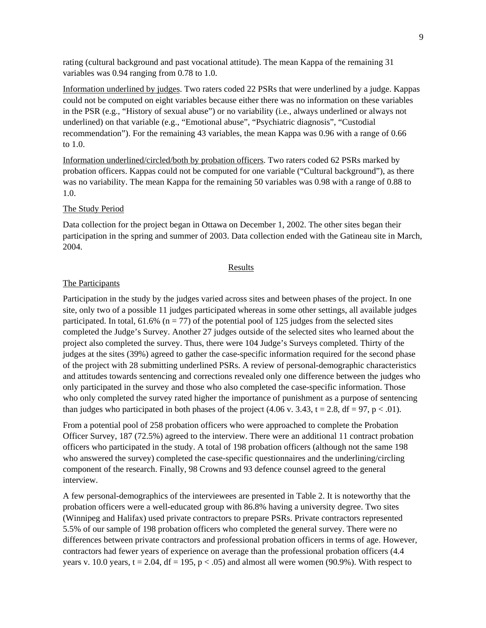rating (cultural background and past vocational attitude). The mean Kappa of the remaining 31 variables was 0.94 ranging from 0.78 to 1.0.

Information underlined by judges. Two raters coded 22 PSRs that were underlined by a judge. Kappas could not be computed on eight variables because either there was no information on these variables in the PSR (e.g., "History of sexual abuse") or no variability (i.e., always underlined or always not underlined) on that variable (e.g., "Emotional abuse", "Psychiatric diagnosis", "Custodial recommendation"). For the remaining 43 variables, the mean Kappa was 0.96 with a range of 0.66 to 1.0.

Information underlined/circled/both by probation officers. Two raters coded 62 PSRs marked by probation officers. Kappas could not be computed for one variable ("Cultural background"), as there was no variability. The mean Kappa for the remaining 50 variables was 0.98 with a range of 0.88 to 1.0.

#### The Study Period

Data collection for the project began in Ottawa on December 1, 2002. The other sites began their participation in the spring and summer of 2003. Data collection ended with the Gatineau site in March, 2004.

#### Results

## The Participants

Participation in the study by the judges varied across sites and between phases of the project. In one site, only two of a possible 11 judges participated whereas in some other settings, all available judges participated. In total,  $61.6\%$  (n = 77) of the potential pool of 125 judges from the selected sites completed the Judge's Survey. Another 27 judges outside of the selected sites who learned about the project also completed the survey. Thus, there were 104 Judge's Surveys completed. Thirty of the judges at the sites (39%) agreed to gather the case-specific information required for the second phase of the project with 28 submitting underlined PSRs. A review of personal-demographic characteristics and attitudes towards sentencing and corrections revealed only one difference between the judges who only participated in the survey and those who also completed the case-specific information. Those who only completed the survey rated higher the importance of punishment as a purpose of sentencing than judges who participated in both phases of the project  $(4.06 \text{ v. } 3.43, t = 2.8, df = 97, p < .01)$ .

From a potential pool of 258 probation officers who were approached to complete the Probation Officer Survey, 187 (72.5%) agreed to the interview. There were an additional 11 contract probation officers who participated in the study. A total of 198 probation officers (although not the same 198 who answered the survey) completed the case-specific questionnaires and the underlining/circling component of the research. Finally, 98 Crowns and 93 defence counsel agreed to the general interview.

A few personal-demographics of the interviewees are presented in Table 2. It is noteworthy that the probation officers were a well-educated group with 86.8% having a university degree. Two sites (Winnipeg and Halifax) used private contractors to prepare PSRs. Private contractors represented 5.5% of our sample of 198 probation officers who completed the general survey. There were no differences between private contractors and professional probation officers in terms of age. However, contractors had fewer years of experience on average than the professional probation officers (4.4 years v. 10.0 years,  $t = 2.04$ ,  $df = 195$ ,  $p < .05$ ) and almost all were women (90.9%). With respect to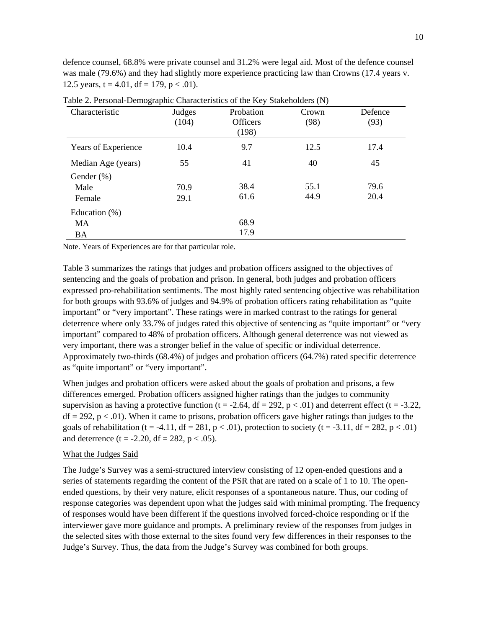defence counsel, 68.8% were private counsel and 31.2% were legal aid. Most of the defence counsel was male (79.6%) and they had slightly more experience practicing law than Crowns (17.4 years v. 12.5 years,  $t = 4.01$ ,  $df = 179$ ,  $p < .01$ ).

| Characteristic      | Judges<br>(104) | Probation<br><b>Officers</b> | Crown<br>(98) | Defence |
|---------------------|-----------------|------------------------------|---------------|---------|
|                     |                 | (198)                        |               | (93)    |
| Years of Experience | 10.4            | 9.7                          | 12.5          | 17.4    |
| Median Age (years)  | 55              | 41                           | 40            | 45      |
| Gender $(\%)$       |                 |                              |               |         |
| Male                | 70.9            | 38.4                         | 55.1          | 79.6    |
| Female              | 29.1            | 61.6                         | 44.9          | 20.4    |
| Education $(\%)$    |                 |                              |               |         |
| MA                  |                 | 68.9                         |               |         |
| BA                  |                 | 17.9                         |               |         |

Table 2. Personal-Demographic Characteristics of the Key Stakeholders (N)

Note. Years of Experiences are for that particular role.

Table 3 summarizes the ratings that judges and probation officers assigned to the objectives of sentencing and the goals of probation and prison. In general, both judges and probation officers expressed pro-rehabilitation sentiments. The most highly rated sentencing objective was rehabilitation for both groups with 93.6% of judges and 94.9% of probation officers rating rehabilitation as "quite important" or "very important". These ratings were in marked contrast to the ratings for general deterrence where only 33.7% of judges rated this objective of sentencing as "quite important" or "very important" compared to 48% of probation officers. Although general deterrence was not viewed as very important, there was a stronger belief in the value of specific or individual deterrence. Approximately two-thirds (68.4%) of judges and probation officers (64.7%) rated specific deterrence as "quite important" or "very important".

When judges and probation officers were asked about the goals of probation and prisons, a few differences emerged. Probation officers assigned higher ratings than the judges to community supervision as having a protective function (t = -2.64, df = 292, p < .01) and deterrent effect (t = -3.22,  $df = 292$ ,  $p < .01$ ). When it came to prisons, probation officers gave higher ratings than judges to the goals of rehabilitation (t = -4.11, df = 281, p < .01), protection to society (t = -3.11, df = 282, p < .01) and deterrence (t = -2.20, df = 282, p < .05).

#### What the Judges Said

The Judge's Survey was a semi-structured interview consisting of 12 open-ended questions and a series of statements regarding the content of the PSR that are rated on a scale of 1 to 10. The openended questions, by their very nature, elicit responses of a spontaneous nature. Thus, our coding of response categories was dependent upon what the judges said with minimal prompting. The frequency of responses would have been different if the questions involved forced-choice responding or if the interviewer gave more guidance and prompts. A preliminary review of the responses from judges in the selected sites with those external to the sites found very few differences in their responses to the Judge's Survey. Thus, the data from the Judge's Survey was combined for both groups.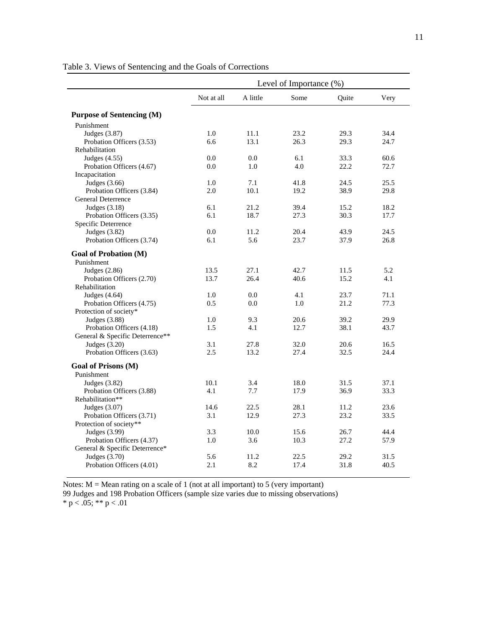|                                  | Level of Importance (%) |          |      |       |      |  |
|----------------------------------|-------------------------|----------|------|-------|------|--|
|                                  | Not at all              | A little | Some | Ouite | Very |  |
| <b>Purpose of Sentencing (M)</b> |                         |          |      |       |      |  |
| Punishment                       |                         |          |      |       |      |  |
| Judges $(3.87)$                  | 1.0                     | 11.1     | 23.2 | 29.3  | 34.4 |  |
| Probation Officers (3.53)        | 6.6                     | 13.1     | 26.3 | 29.3  | 24.7 |  |
| Rehabilitation                   |                         |          |      |       |      |  |
| Judges $(4.55)$                  | 0.0                     | 0.0      | 6.1  | 33.3  | 60.6 |  |
| Probation Officers (4.67)        | 0.0                     | 1.0      | 4.0  | 22.2  | 72.7 |  |
| Incapacitation                   |                         |          |      |       |      |  |
| Judges $(3.66)$                  | 1.0                     | 7.1      | 41.8 | 24.5  | 25.5 |  |
| Probation Officers (3.84)        | 2.0                     | 10.1     | 19.2 | 38.9  | 29.8 |  |
| General Deterrence               |                         |          |      |       |      |  |
| Judges $(3.18)$                  | 6.1                     | 21.2     | 39.4 | 15.2  | 18.2 |  |
| Probation Officers (3.35)        | 6.1                     | 18.7     | 27.3 | 30.3  | 17.7 |  |
| Specific Deterrence              |                         |          |      |       |      |  |
| Judges (3.82)                    | 0.0                     | 11.2     | 20.4 | 43.9  | 24.5 |  |
| Probation Officers (3.74)        | 6.1                     | 5.6      | 23.7 | 37.9  | 26.8 |  |
| <b>Goal of Probation (M)</b>     |                         |          |      |       |      |  |
| Punishment                       |                         |          |      |       |      |  |
| Judges $(2.86)$                  | 13.5                    | 27.1     | 42.7 | 11.5  | 5.2  |  |
| Probation Officers (2.70)        | 13.7                    | 26.4     | 40.6 | 15.2  | 4.1  |  |
| Rehabilitation                   |                         |          |      |       |      |  |
| Judges $(4.64)$                  | 1.0                     | 0.0      | 4.1  | 23.7  | 71.1 |  |
| Probation Officers (4.75)        | 0.5                     | 0.0      | 1.0  | 21.2  | 77.3 |  |
| Protection of society*           |                         |          |      |       |      |  |
| Judges (3.88)                    | 1.0                     | 9.3      | 20.6 | 39.2  | 29.9 |  |
| Probation Officers (4.18)        | 1.5                     | 4.1      | 12.7 | 38.1  | 43.7 |  |
| General & Specific Deterrence**  |                         |          |      |       |      |  |
| Judges $(3.20)$                  | 3.1                     | 27.8     | 32.0 | 20.6  | 16.5 |  |
| Probation Officers (3.63)        | 2.5                     | 13.2     | 27.4 | 32.5  | 24.4 |  |
| Goal of Prisons (M)              |                         |          |      |       |      |  |
| Punishment                       |                         |          |      |       |      |  |
| Judges $(3.82)$                  | 10.1                    | 3.4      | 18.0 | 31.5  | 37.1 |  |
| Probation Officers (3.88)        | 4.1                     | 7.7      | 17.9 | 36.9  | 33.3 |  |
| Rehabilitation**                 |                         |          |      |       |      |  |
| Judges $(3.07)$                  | 14.6                    | 22.5     | 28.1 | 11.2  | 23.6 |  |
| Probation Officers (3.71)        | 3.1                     | 12.9     | 27.3 | 23.2  | 33.5 |  |
| Protection of society**          |                         |          |      |       |      |  |
| Judges (3.99)                    | 3.3                     | 10.0     | 15.6 | 26.7  | 44.4 |  |
| Probation Officers (4.37)        | 1.0                     | 3.6      | 10.3 | 27.2  | 57.9 |  |
| General & Specific Deterrence*   |                         |          |      |       |      |  |
| Judges (3.70)                    | 5.6                     | 11.2     | 22.5 | 29.2  | 31.5 |  |
| Probation Officers (4.01)        | 2.1                     | 8.2      | 17.4 | 31.8  | 40.5 |  |

Table 3. Views of Sentencing and the Goals of Corrections

Notes:  $M =$  Mean rating on a scale of 1 (not at all important) to 5 (very important)

99 Judges and 198 Probation Officers (sample size varies due to missing observations)

\* p < .05; \*\* p < .01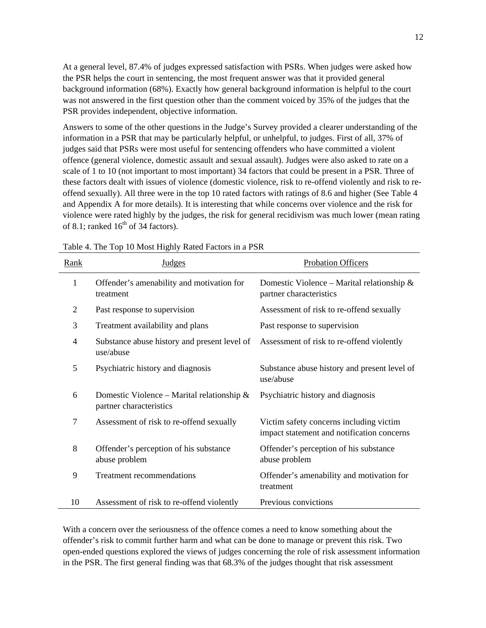At a general level, 87.4% of judges expressed satisfaction with PSRs. When judges were asked how the PSR helps the court in sentencing, the most frequent answer was that it provided general background information (68%). Exactly how general background information is helpful to the court was not answered in the first question other than the comment voiced by 35% of the judges that the PSR provides independent, objective information.

Answers to some of the other questions in the Judge's Survey provided a clearer understanding of the information in a PSR that may be particularly helpful, or unhelpful, to judges. First of all, 37% of judges said that PSRs were most useful for sentencing offenders who have committed a violent offence (general violence, domestic assault and sexual assault). Judges were also asked to rate on a scale of 1 to 10 (not important to most important) 34 factors that could be present in a PSR. Three of these factors dealt with issues of violence (domestic violence, risk to re-offend violently and risk to reoffend sexually). All three were in the top 10 rated factors with ratings of 8.6 and higher (See Table 4 and Appendix A for more details). It is interesting that while concerns over violence and the risk for violence were rated highly by the judges, the risk for general recidivism was much lower (mean rating of 8.1; ranked  $16<sup>th</sup>$  of 34 factors).

| Rank | <b>Judges</b>                                                            | <b>Probation Officers</b>                                                             |
|------|--------------------------------------------------------------------------|---------------------------------------------------------------------------------------|
| 1    | Offender's amenability and motivation for<br>treatment                   | Domestic Violence – Marital relationship $\&$<br>partner characteristics              |
| 2    | Past response to supervision                                             | Assessment of risk to re-offend sexually                                              |
| 3    | Treatment availability and plans                                         | Past response to supervision                                                          |
| 4    | Substance abuse history and present level of<br>use/abuse                | Assessment of risk to re-offend violently                                             |
| 5    | Psychiatric history and diagnosis                                        | Substance abuse history and present level of<br>use/abuse                             |
| 6    | Domestic Violence – Marital relationship $\&$<br>partner characteristics | Psychiatric history and diagnosis                                                     |
| 7    | Assessment of risk to re-offend sexually                                 | Victim safety concerns including victim<br>impact statement and notification concerns |
| 8    | Offender's perception of his substance<br>abuse problem                  | Offender's perception of his substance<br>abuse problem                               |
| 9    | <b>Treatment recommendations</b>                                         | Offender's amenability and motivation for<br>treatment                                |
| 10   | Assessment of risk to re-offend violently                                | Previous convictions                                                                  |

Table 4. The Top 10 Most Highly Rated Factors in a PSR

With a concern over the seriousness of the offence comes a need to know something about the offender's risk to commit further harm and what can be done to manage or prevent this risk. Two open-ended questions explored the views of judges concerning the role of risk assessment information in the PSR. The first general finding was that 68.3% of the judges thought that risk assessment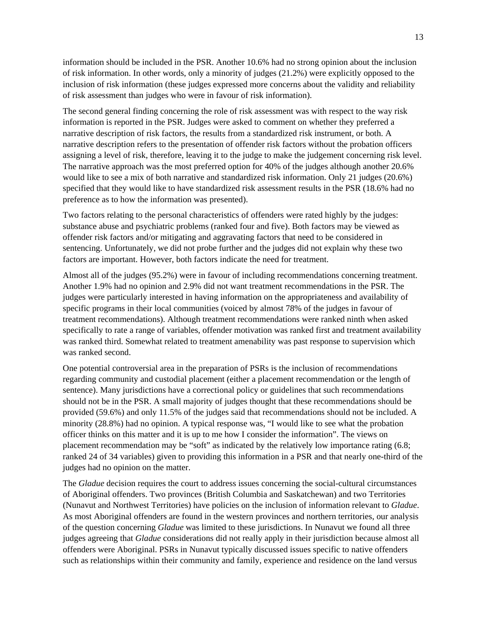information should be included in the PSR. Another 10.6% had no strong opinion about the inclusion of risk information. In other words, only a minority of judges (21.2%) were explicitly opposed to the inclusion of risk information (these judges expressed more concerns about the validity and reliability of risk assessment than judges who were in favour of risk information).

The second general finding concerning the role of risk assessment was with respect to the way risk information is reported in the PSR. Judges were asked to comment on whether they preferred a narrative description of risk factors, the results from a standardized risk instrument, or both. A narrative description refers to the presentation of offender risk factors without the probation officers assigning a level of risk, therefore, leaving it to the judge to make the judgement concerning risk level. The narrative approach was the most preferred option for 40% of the judges although another 20.6% would like to see a mix of both narrative and standardized risk information. Only 21 judges (20.6%) specified that they would like to have standardized risk assessment results in the PSR (18.6% had no preference as to how the information was presented).

Two factors relating to the personal characteristics of offenders were rated highly by the judges: substance abuse and psychiatric problems (ranked four and five). Both factors may be viewed as offender risk factors and/or mitigating and aggravating factors that need to be considered in sentencing. Unfortunately, we did not probe further and the judges did not explain why these two factors are important. However, both factors indicate the need for treatment.

Almost all of the judges (95.2%) were in favour of including recommendations concerning treatment. Another 1.9% had no opinion and 2.9% did not want treatment recommendations in the PSR. The judges were particularly interested in having information on the appropriateness and availability of specific programs in their local communities (voiced by almost 78% of the judges in favour of treatment recommendations). Although treatment recommendations were ranked ninth when asked specifically to rate a range of variables, offender motivation was ranked first and treatment availability was ranked third. Somewhat related to treatment amenability was past response to supervision which was ranked second.

One potential controversial area in the preparation of PSRs is the inclusion of recommendations regarding community and custodial placement (either a placement recommendation or the length of sentence). Many jurisdictions have a correctional policy or guidelines that such recommendations should not be in the PSR. A small majority of judges thought that these recommendations should be provided (59.6%) and only 11.5% of the judges said that recommendations should not be included. A minority (28.8%) had no opinion. A typical response was, "I would like to see what the probation officer thinks on this matter and it is up to me how I consider the information". The views on placement recommendation may be "soft" as indicated by the relatively low importance rating (6.8; ranked 24 of 34 variables) given to providing this information in a PSR and that nearly one-third of the judges had no opinion on the matter.

The *Gladue* decision requires the court to address issues concerning the social-cultural circumstances of Aboriginal offenders. Two provinces (British Columbia and Saskatchewan) and two Territories (Nunavut and Northwest Territories) have policies on the inclusion of information relevant to *Gladue*. As most Aboriginal offenders are found in the western provinces and northern territories, our analysis of the question concerning *Gladue* was limited to these jurisdictions. In Nunavut we found all three judges agreeing that *Gladue* considerations did not really apply in their jurisdiction because almost all offenders were Aboriginal. PSRs in Nunavut typically discussed issues specific to native offenders such as relationships within their community and family, experience and residence on the land versus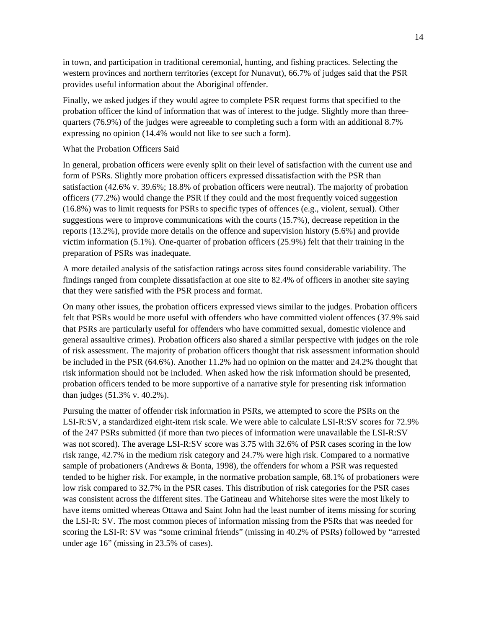in town, and participation in traditional ceremonial, hunting, and fishing practices. Selecting the western provinces and northern territories (except for Nunavut), 66.7% of judges said that the PSR provides useful information about the Aboriginal offender.

Finally, we asked judges if they would agree to complete PSR request forms that specified to the probation officer the kind of information that was of interest to the judge. Slightly more than threequarters (76.9%) of the judges were agreeable to completing such a form with an additional 8.7% expressing no opinion (14.4% would not like to see such a form).

#### What the Probation Officers Said

In general, probation officers were evenly split on their level of satisfaction with the current use and form of PSRs. Slightly more probation officers expressed dissatisfaction with the PSR than satisfaction (42.6% v. 39.6%; 18.8% of probation officers were neutral). The majority of probation officers (77.2%) would change the PSR if they could and the most frequently voiced suggestion (16.8%) was to limit requests for PSRs to specific types of offences (e.g., violent, sexual). Other suggestions were to improve communications with the courts (15.7%), decrease repetition in the reports (13.2%), provide more details on the offence and supervision history (5.6%) and provide victim information (5.1%). One-quarter of probation officers (25.9%) felt that their training in the preparation of PSRs was inadequate.

A more detailed analysis of the satisfaction ratings across sites found considerable variability. The findings ranged from complete dissatisfaction at one site to 82.4% of officers in another site saying that they were satisfied with the PSR process and format.

On many other issues, the probation officers expressed views similar to the judges. Probation officers felt that PSRs would be more useful with offenders who have committed violent offences (37.9% said that PSRs are particularly useful for offenders who have committed sexual, domestic violence and general assaultive crimes). Probation officers also shared a similar perspective with judges on the role of risk assessment. The majority of probation officers thought that risk assessment information should be included in the PSR (64.6%). Another 11.2% had no opinion on the matter and 24.2% thought that risk information should not be included. When asked how the risk information should be presented, probation officers tended to be more supportive of a narrative style for presenting risk information than judges (51.3% v. 40.2%).

Pursuing the matter of offender risk information in PSRs, we attempted to score the PSRs on the LSI-R:SV, a standardized eight-item risk scale. We were able to calculate LSI-R:SV scores for 72.9% of the 247 PSRs submitted (if more than two pieces of information were unavailable the LSI-R:SV was not scored). The average LSI-R:SV score was 3.75 with 32.6% of PSR cases scoring in the low risk range, 42.7% in the medium risk category and 24.7% were high risk. Compared to a normative sample of probationers (Andrews & Bonta, 1998), the offenders for whom a PSR was requested tended to be higher risk. For example, in the normative probation sample, 68.1% of probationers were low risk compared to 32.7% in the PSR cases. This distribution of risk categories for the PSR cases was consistent across the different sites. The Gatineau and Whitehorse sites were the most likely to have items omitted whereas Ottawa and Saint John had the least number of items missing for scoring the LSI-R: SV. The most common pieces of information missing from the PSRs that was needed for scoring the LSI-R: SV was "some criminal friends" (missing in 40.2% of PSRs) followed by "arrested under age 16" (missing in 23.5% of cases).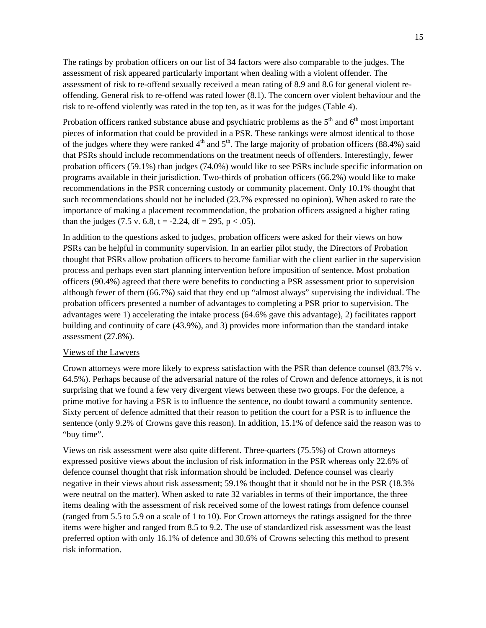The ratings by probation officers on our list of 34 factors were also comparable to the judges. The assessment of risk appeared particularly important when dealing with a violent offender. The assessment of risk to re-offend sexually received a mean rating of 8.9 and 8.6 for general violent reoffending. General risk to re-offend was rated lower (8.1). The concern over violent behaviour and the risk to re-offend violently was rated in the top ten, as it was for the judges (Table 4).

Probation officers ranked substance abuse and psychiatric problems as the  $5<sup>th</sup>$  and  $6<sup>th</sup>$  most important pieces of information that could be provided in a PSR. These rankings were almost identical to those of the judges where they were ranked  $4<sup>th</sup>$  and  $5<sup>th</sup>$ . The large majority of probation officers (88.4%) said that PSRs should include recommendations on the treatment needs of offenders. Interestingly, fewer probation officers (59.1%) than judges (74.0%) would like to see PSRs include specific information on programs available in their jurisdiction. Two-thirds of probation officers (66.2%) would like to make recommendations in the PSR concerning custody or community placement. Only 10.1% thought that such recommendations should not be included (23.7% expressed no opinion). When asked to rate the importance of making a placement recommendation, the probation officers assigned a higher rating than the judges (7.5 v. 6.8, t = -2.24, df = 295, p < .05).

In addition to the questions asked to judges, probation officers were asked for their views on how PSRs can be helpful in community supervision. In an earlier pilot study, the Directors of Probation thought that PSRs allow probation officers to become familiar with the client earlier in the supervision process and perhaps even start planning intervention before imposition of sentence. Most probation officers (90.4%) agreed that there were benefits to conducting a PSR assessment prior to supervision although fewer of them (66.7%) said that they end up "almost always" supervising the individual. The probation officers presented a number of advantages to completing a PSR prior to supervision. The advantages were 1) accelerating the intake process (64.6% gave this advantage), 2) facilitates rapport building and continuity of care (43.9%), and 3) provides more information than the standard intake assessment (27.8%).

## Views of the Lawyers

Crown attorneys were more likely to express satisfaction with the PSR than defence counsel (83.7% v. 64.5%). Perhaps because of the adversarial nature of the roles of Crown and defence attorneys, it is not surprising that we found a few very divergent views between these two groups. For the defence, a prime motive for having a PSR is to influence the sentence, no doubt toward a community sentence. Sixty percent of defence admitted that their reason to petition the court for a PSR is to influence the sentence (only 9.2% of Crowns gave this reason). In addition, 15.1% of defence said the reason was to "buy time".

Views on risk assessment were also quite different. Three-quarters (75.5%) of Crown attorneys expressed positive views about the inclusion of risk information in the PSR whereas only 22.6% of defence counsel thought that risk information should be included. Defence counsel was clearly negative in their views about risk assessment; 59.1% thought that it should not be in the PSR (18.3% were neutral on the matter). When asked to rate 32 variables in terms of their importance, the three items dealing with the assessment of risk received some of the lowest ratings from defence counsel (ranged from 5.5 to 5.9 on a scale of 1 to 10). For Crown attorneys the ratings assigned for the three items were higher and ranged from 8.5 to 9.2. The use of standardized risk assessment was the least preferred option with only 16.1% of defence and 30.6% of Crowns selecting this method to present risk information.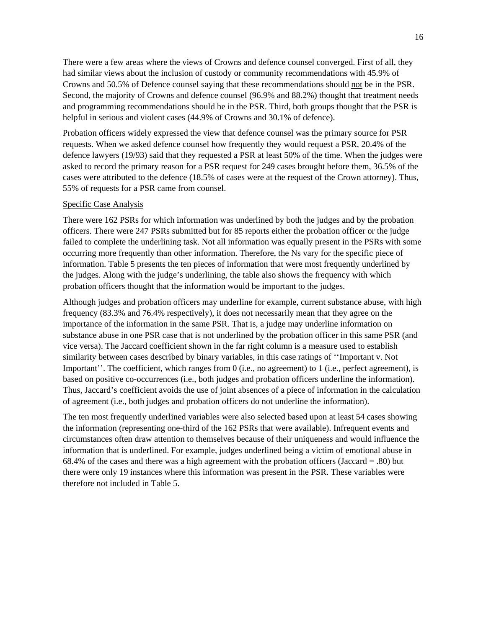There were a few areas where the views of Crowns and defence counsel converged. First of all, they had similar views about the inclusion of custody or community recommendations with 45.9% of Crowns and 50.5% of Defence counsel saying that these recommendations should not be in the PSR. Second, the majority of Crowns and defence counsel (96.9% and 88.2%) thought that treatment needs and programming recommendations should be in the PSR. Third, both groups thought that the PSR is helpful in serious and violent cases (44.9% of Crowns and 30.1% of defence).

Probation officers widely expressed the view that defence counsel was the primary source for PSR requests. When we asked defence counsel how frequently they would request a PSR, 20.4% of the defence lawyers (19/93) said that they requested a PSR at least 50% of the time. When the judges were asked to record the primary reason for a PSR request for 249 cases brought before them, 36.5% of the cases were attributed to the defence (18.5% of cases were at the request of the Crown attorney). Thus, 55% of requests for a PSR came from counsel.

## Specific Case Analysis

There were 162 PSRs for which information was underlined by both the judges and by the probation officers. There were 247 PSRs submitted but for 85 reports either the probation officer or the judge failed to complete the underlining task. Not all information was equally present in the PSRs with some occurring more frequently than other information. Therefore, the Ns vary for the specific piece of information. Table 5 presents the ten pieces of information that were most frequently underlined by the judges. Along with the judge's underlining, the table also shows the frequency with which probation officers thought that the information would be important to the judges.

Although judges and probation officers may underline for example, current substance abuse, with high frequency (83.3% and 76.4% respectively), it does not necessarily mean that they agree on the importance of the information in the same PSR. That is, a judge may underline information on substance abuse in one PSR case that is not underlined by the probation officer in this same PSR (and vice versa). The Jaccard coefficient shown in the far right column is a measure used to establish similarity between cases described by binary variables, in this case ratings of ''Important v. Not Important''. The coefficient, which ranges from 0 (i.e., no agreement) to 1 (i.e., perfect agreement), is based on positive co-occurrences (i.e., both judges and probation officers underline the information). Thus, Jaccard's coefficient avoids the use of joint absences of a piece of information in the calculation of agreement (i.e., both judges and probation officers do not underline the information).

The ten most frequently underlined variables were also selected based upon at least 54 cases showing the information (representing one-third of the 162 PSRs that were available). Infrequent events and circumstances often draw attention to themselves because of their uniqueness and would influence the information that is underlined. For example, judges underlined being a victim of emotional abuse in 68.4% of the cases and there was a high agreement with the probation officers (Jaccard = .80) but there were only 19 instances where this information was present in the PSR. These variables were therefore not included in Table 5.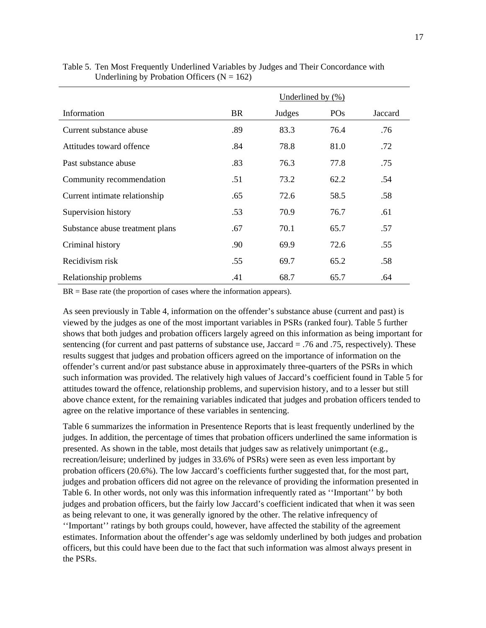|                                 | Underlined by $(\% )$ |        |                 |         |  |  |
|---------------------------------|-----------------------|--------|-----------------|---------|--|--|
| Information                     | BR                    | Judges | PO <sub>s</sub> | Jaccard |  |  |
| Current substance abuse         | .89                   | 83.3   | 76.4            | .76     |  |  |
| Attitudes toward offence        | .84                   | 78.8   | 81.0            | .72     |  |  |
| Past substance abuse            | .83                   | 76.3   | 77.8            | .75     |  |  |
| Community recommendation        | .51                   | 73.2   | 62.2            | .54     |  |  |
| Current intimate relationship   | .65                   | 72.6   | 58.5            | .58     |  |  |
| Supervision history             | .53                   | 70.9   | 76.7            | .61     |  |  |
| Substance abuse treatment plans | .67                   | 70.1   | 65.7            | .57     |  |  |
| Criminal history                | .90                   | 69.9   | 72.6            | .55     |  |  |
| Recidivism risk                 | .55                   | 69.7   | 65.2            | .58     |  |  |
| Relationship problems           | .41                   | 68.7   | 65.7            | .64     |  |  |

Table 5. Ten Most Frequently Underlined Variables by Judges and Their Concordance with Underlining by Probation Officers ( $N = 162$ )

 $BR = Base$  rate (the proportion of cases where the information appears).

As seen previously in Table 4, information on the offender's substance abuse (current and past) is viewed by the judges as one of the most important variables in PSRs (ranked four). Table 5 further shows that both judges and probation officers largely agreed on this information as being important for sentencing (for current and past patterns of substance use, Jaccard = .76 and .75, respectively). These results suggest that judges and probation officers agreed on the importance of information on the offender's current and/or past substance abuse in approximately three-quarters of the PSRs in which such information was provided. The relatively high values of Jaccard's coefficient found in Table 5 for attitudes toward the offence, relationship problems, and supervision history, and to a lesser but still above chance extent, for the remaining variables indicated that judges and probation officers tended to agree on the relative importance of these variables in sentencing.

Table 6 summarizes the information in Presentence Reports that is least frequently underlined by the judges. In addition, the percentage of times that probation officers underlined the same information is presented. As shown in the table, most details that judges saw as relatively unimportant (e.g., recreation/leisure; underlined by judges in 33.6% of PSRs) were seen as even less important by probation officers (20.6%). The low Jaccard's coefficients further suggested that, for the most part, judges and probation officers did not agree on the relevance of providing the information presented in Table 6. In other words, not only was this information infrequently rated as ''Important'' by both judges and probation officers, but the fairly low Jaccard's coefficient indicated that when it was seen as being relevant to one, it was generally ignored by the other. The relative infrequency of ''Important'' ratings by both groups could, however, have affected the stability of the agreement estimates. Information about the offender's age was seldomly underlined by both judges and probation officers, but this could have been due to the fact that such information was almost always present in the PSRs.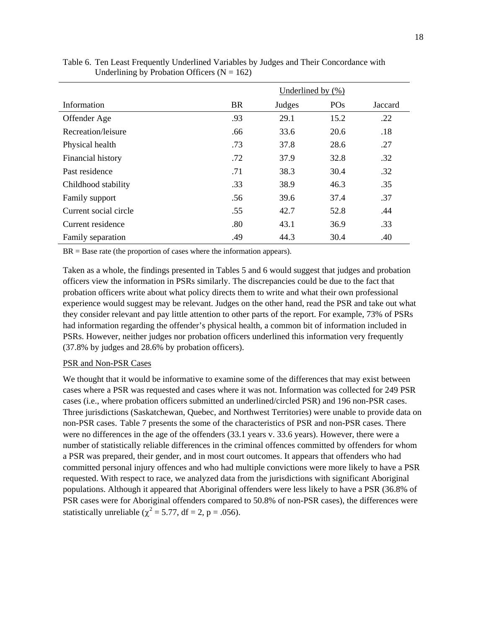|                       | Underlined by $(\% )$ |        |            |         |  |
|-----------------------|-----------------------|--------|------------|---------|--|
| Information           | BR                    | Judges | <b>POs</b> | Jaccard |  |
| Offender Age          | .93                   | 29.1   | 15.2       | .22     |  |
| Recreation/leisure    | .66                   | 33.6   | 20.6       | .18     |  |
| Physical health       | .73                   | 37.8   | 28.6       | .27     |  |
| Financial history     | .72                   | 37.9   | 32.8       | .32     |  |
| Past residence        | .71                   | 38.3   | 30.4       | .32     |  |
| Childhood stability   | .33                   | 38.9   | 46.3       | .35     |  |
| Family support        | .56                   | 39.6   | 37.4       | .37     |  |
| Current social circle | .55                   | 42.7   | 52.8       | .44     |  |
| Current residence     | .80                   | 43.1   | 36.9       | .33     |  |
| Family separation     | .49                   | 44.3   | 30.4       | .40     |  |

Table 6. Ten Least Frequently Underlined Variables by Judges and Their Concordance with Underlining by Probation Officers ( $N = 162$ )

 $BR = Base$  rate (the proportion of cases where the information appears).

Taken as a whole, the findings presented in Tables 5 and 6 would suggest that judges and probation officers view the information in PSRs similarly. The discrepancies could be due to the fact that probation officers write about what policy directs them to write and what their own professional experience would suggest may be relevant. Judges on the other hand, read the PSR and take out what they consider relevant and pay little attention to other parts of the report. For example, 73% of PSRs had information regarding the offender's physical health, a common bit of information included in PSRs. However, neither judges nor probation officers underlined this information very frequently (37.8% by judges and 28.6% by probation officers).

## PSR and Non-PSR Cases

We thought that it would be informative to examine some of the differences that may exist between cases where a PSR was requested and cases where it was not. Information was collected for 249 PSR cases (i.e., where probation officers submitted an underlined/circled PSR) and 196 non-PSR cases. Three jurisdictions (Saskatchewan, Quebec, and Northwest Territories) were unable to provide data on non-PSR cases. Table 7 presents the some of the characteristics of PSR and non-PSR cases. There were no differences in the age of the offenders (33.1 years v. 33.6 years). However, there were a number of statistically reliable differences in the criminal offences committed by offenders for whom a PSR was prepared, their gender, and in most court outcomes. It appears that offenders who had committed personal injury offences and who had multiple convictions were more likely to have a PSR requested. With respect to race, we analyzed data from the jurisdictions with significant Aboriginal populations. Although it appeared that Aboriginal offenders were less likely to have a PSR (36.8% of PSR cases were for Aboriginal offenders compared to 50.8% of non-PSR cases), the differences were statistically unreliable ( $\chi^2$  = 5.77, df = 2, p = .056).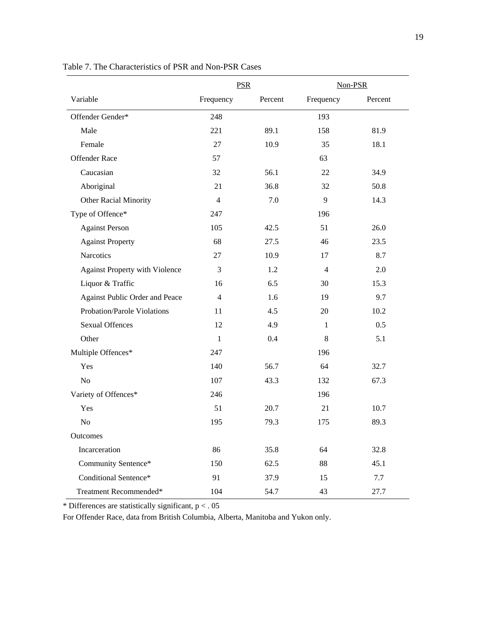|                                       | <b>PSR</b>     |         | Non-PSR        |         |
|---------------------------------------|----------------|---------|----------------|---------|
| Variable                              | Frequency      | Percent | Frequency      | Percent |
| Offender Gender*                      | 248            |         | 193            |         |
| Male                                  | 221            | 89.1    | 158            | 81.9    |
| Female                                | 27             | 10.9    | 35             | 18.1    |
| <b>Offender Race</b>                  | 57             |         | 63             |         |
| Caucasian                             | 32             | 56.1    | 22             | 34.9    |
| Aboriginal                            | 21             | 36.8    | 32             | 50.8    |
| <b>Other Racial Minority</b>          | $\overline{4}$ | 7.0     | 9              | 14.3    |
| Type of Offence*                      | 247            |         | 196            |         |
| <b>Against Person</b>                 | 105            | 42.5    | 51             | 26.0    |
| <b>Against Property</b>               | 68             | 27.5    | 46             | 23.5    |
| Narcotics                             | 27             | 10.9    | 17             | 8.7     |
| <b>Against Property with Violence</b> | 3              | 1.2     | $\overline{4}$ | 2.0     |
| Liquor & Traffic                      | 16             | 6.5     | 30             | 15.3    |
| Against Public Order and Peace        | $\overline{4}$ | 1.6     | 19             | 9.7     |
| Probation/Parole Violations           | 11             | 4.5     | 20             | 10.2    |
| <b>Sexual Offences</b>                | 12             | 4.9     | $\mathbf{1}$   | 0.5     |
| Other                                 | $\mathbf{1}$   | 0.4     | 8              | 5.1     |
| Multiple Offences*                    | 247            |         | 196            |         |
| Yes                                   | 140            | 56.7    | 64             | 32.7    |
| No                                    | 107            | 43.3    | 132            | 67.3    |
| Variety of Offences*                  | 246            |         | 196            |         |
| Yes                                   | 51             | 20.7    | 21             | 10.7    |
| No                                    | 195            | 79.3    | 175            | 89.3    |
| Outcomes                              |                |         |                |         |
| Incarceration                         | 86             | 35.8    | 64             | 32.8    |
| Community Sentence*                   | 150            | 62.5    | 88             | 45.1    |
| Conditional Sentence*                 | 91             | 37.9    | 15             | 7.7     |
| Treatment Recommended*                | 104            | 54.7    | 43             | 27.7    |

Table 7. The Characteristics of PSR and Non-PSR Cases

 $*$  Differences are statistically significant,  $p < 0.05$ 

For Offender Race, data from British Columbia, Alberta, Manitoba and Yukon only.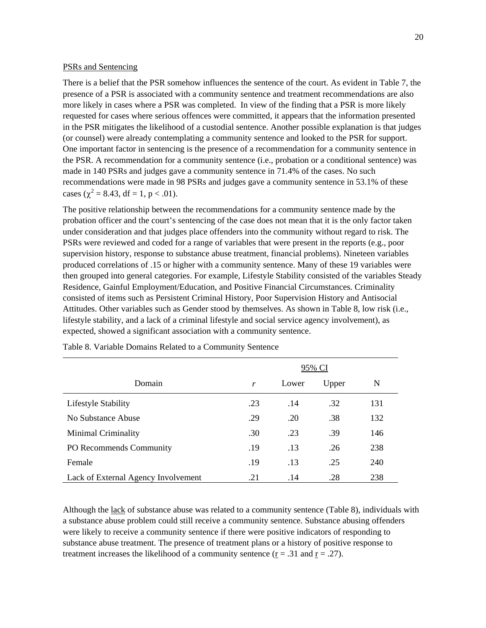## PSRs and Sentencing

There is a belief that the PSR somehow influences the sentence of the court. As evident in Table 7, the presence of a PSR is associated with a community sentence and treatment recommendations are also more likely in cases where a PSR was completed. In view of the finding that a PSR is more likely requested for cases where serious offences were committed, it appears that the information presented in the PSR mitigates the likelihood of a custodial sentence. Another possible explanation is that judges (or counsel) were already contemplating a community sentence and looked to the PSR for support. One important factor in sentencing is the presence of a recommendation for a community sentence in the PSR. A recommendation for a community sentence (i.e., probation or a conditional sentence) was made in 140 PSRs and judges gave a community sentence in 71.4% of the cases. No such recommendations were made in 98 PSRs and judges gave a community sentence in 53.1% of these cases ( $\chi^2$  = 8.43, df = 1, p < .01).

The positive relationship between the recommendations for a community sentence made by the probation officer and the court's sentencing of the case does not mean that it is the only factor taken under consideration and that judges place offenders into the community without regard to risk. The PSRs were reviewed and coded for a range of variables that were present in the reports (e.g., poor supervision history, response to substance abuse treatment, financial problems). Nineteen variables produced correlations of .15 or higher with a community sentence. Many of these 19 variables were then grouped into general categories. For example, Lifestyle Stability consisted of the variables Steady Residence, Gainful Employment/Education, and Positive Financial Circumstances. Criminality consisted of items such as Persistent Criminal History, Poor Supervision History and Antisocial Attitudes. Other variables such as Gender stood by themselves. As shown in Table 8, low risk (i.e., lifestyle stability, and a lack of a criminal lifestyle and social service agency involvement), as expected, showed a significant association with a community sentence.

|                                     |     |       | 95% CI |     |
|-------------------------------------|-----|-------|--------|-----|
| Domain                              | r   | Lower | Upper  | N   |
| Lifestyle Stability                 | .23 | .14   | .32    | 131 |
| No Substance Abuse                  | .29 | .20   | .38    | 132 |
| <b>Minimal Criminality</b>          | .30 | .23   | .39    | 146 |
| PO Recommends Community             | .19 | .13   | .26    | 238 |
| Female                              | .19 | .13   | .25    | 240 |
| Lack of External Agency Involvement | .21 | .14   | .28    | 238 |

Table 8. Variable Domains Related to a Community Sentence

Although the lack of substance abuse was related to a community sentence (Table 8), individuals with a substance abuse problem could still receive a community sentence. Substance abusing offenders were likely to receive a community sentence if there were positive indicators of responding to substance abuse treatment. The presence of treatment plans or a history of positive response to treatment increases the likelihood of a community sentence ( $\underline{r} = .31$  and  $\underline{r} = .27$ ).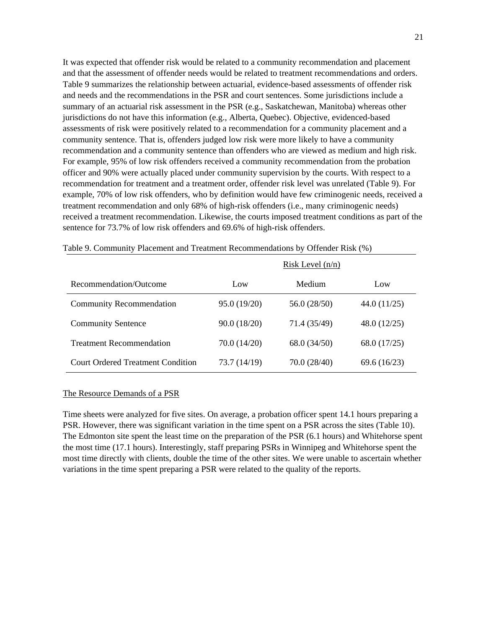It was expected that offender risk would be related to a community recommendation and placement and that the assessment of offender needs would be related to treatment recommendations and orders. Table 9 summarizes the relationship between actuarial, evidence-based assessments of offender risk and needs and the recommendations in the PSR and court sentences. Some jurisdictions include a summary of an actuarial risk assessment in the PSR (e.g., Saskatchewan, Manitoba) whereas other jurisdictions do not have this information (e.g., Alberta, Quebec). Objective, evidenced-based assessments of risk were positively related to a recommendation for a community placement and a community sentence. That is, offenders judged low risk were more likely to have a community recommendation and a community sentence than offenders who are viewed as medium and high risk. For example, 95% of low risk offenders received a community recommendation from the probation officer and 90% were actually placed under community supervision by the courts. With respect to a recommendation for treatment and a treatment order, offender risk level was unrelated (Table 9). For example, 70% of low risk offenders, who by definition would have few criminogenic needs, received a treatment recommendation and only 68% of high-risk offenders (i.e., many criminogenic needs) received a treatment recommendation. Likewise, the courts imposed treatment conditions as part of the sentence for 73.7% of low risk offenders and 69.6% of high-risk offenders.

|                                          |              | Risk Level $(n/n)$ |                |
|------------------------------------------|--------------|--------------------|----------------|
| Recommendation/Outcome                   | Low          | Medium             | Low            |
| <b>Community Recommendation</b>          | 95.0 (19/20) | 56.0 (28/50)       | 44.0 (11/25)   |
| <b>Community Sentence</b>                | 90.0 (18/20) | 71.4 (35/49)       | 48.0 (12/25)   |
| <b>Treatment Recommendation</b>          | 70.0 (14/20) | 68.0 (34/50)       | 68.0 (17/25)   |
| <b>Court Ordered Treatment Condition</b> | 73.7 (14/19) | 70.0 (28/40)       | 69.6 $(16/23)$ |

| Table 9. Community Placement and Treatment Recommendations by Offender Risk (%) |  |  |  |
|---------------------------------------------------------------------------------|--|--|--|
|---------------------------------------------------------------------------------|--|--|--|

#### The Resource Demands of a PSR

Time sheets were analyzed for five sites. On average, a probation officer spent 14.1 hours preparing a PSR. However, there was significant variation in the time spent on a PSR across the sites (Table 10). The Edmonton site spent the least time on the preparation of the PSR (6.1 hours) and Whitehorse spent the most time (17.1 hours). Interestingly, staff preparing PSRs in Winnipeg and Whitehorse spent the most time directly with clients, double the time of the other sites. We were unable to ascertain whether variations in the time spent preparing a PSR were related to the quality of the reports.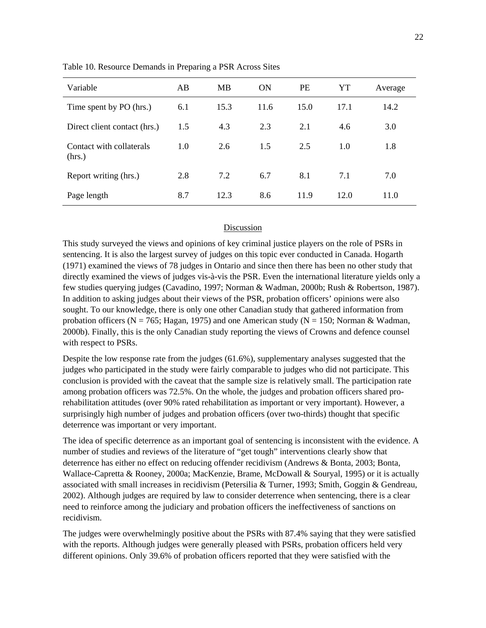| Variable                           | AB  | MB   | <b>ON</b> | <b>PE</b> | YT   | Average |
|------------------------------------|-----|------|-----------|-----------|------|---------|
| Time spent by PO (hrs.)            | 6.1 | 15.3 | 11.6      | 15.0      | 17.1 | 14.2    |
| Direct client contact (hrs.)       | 1.5 | 4.3  | 2.3       | 2.1       | 4.6  | 3.0     |
| Contact with collaterals<br>(hrs.) | 1.0 | 2.6  | 1.5       | 2.5       | 1.0  | 1.8     |
| Report writing (hrs.)              | 2.8 | 7.2  | 6.7       | 8.1       | 7.1  | 7.0     |
| Page length                        | 8.7 | 12.3 | 8.6       | 11.9      | 12.0 | 11.0    |

Table 10. Resource Demands in Preparing a PSR Across Sites

#### Discussion

This study surveyed the views and opinions of key criminal justice players on the role of PSRs in sentencing. It is also the largest survey of judges on this topic ever conducted in Canada. Hogarth (1971) examined the views of 78 judges in Ontario and since then there has been no other study that directly examined the views of judges vis-à-vis the PSR. Even the international literature yields only a few studies querying judges (Cavadino, 1997; Norman & Wadman, 2000b; Rush & Robertson, 1987). In addition to asking judges about their views of the PSR, probation officers' opinions were also sought. To our knowledge, there is only one other Canadian study that gathered information from probation officers ( $N = 765$ ; Hagan, 1975) and one American study ( $N = 150$ ; Norman & Wadman, 2000b). Finally, this is the only Canadian study reporting the views of Crowns and defence counsel with respect to PSRs.

Despite the low response rate from the judges (61.6%), supplementary analyses suggested that the judges who participated in the study were fairly comparable to judges who did not participate. This conclusion is provided with the caveat that the sample size is relatively small. The participation rate among probation officers was 72.5%. On the whole, the judges and probation officers shared prorehabilitation attitudes (over 90% rated rehabilitation as important or very important). However, a surprisingly high number of judges and probation officers (over two-thirds) thought that specific deterrence was important or very important.

The idea of specific deterrence as an important goal of sentencing is inconsistent with the evidence. A number of studies and reviews of the literature of "get tough" interventions clearly show that deterrence has either no effect on reducing offender recidivism (Andrews & Bonta, 2003; Bonta, Wallace-Capretta & Rooney, 2000a; MacKenzie, Brame, McDowall & Souryal, 1995) or it is actually associated with small increases in recidivism (Petersilia & Turner, 1993; Smith, Goggin & Gendreau, 2002). Although judges are required by law to consider deterrence when sentencing, there is a clear need to reinforce among the judiciary and probation officers the ineffectiveness of sanctions on recidivism.

The judges were overwhelmingly positive about the PSRs with 87.4% saying that they were satisfied with the reports. Although judges were generally pleased with PSRs, probation officers held very different opinions. Only 39.6% of probation officers reported that they were satisfied with the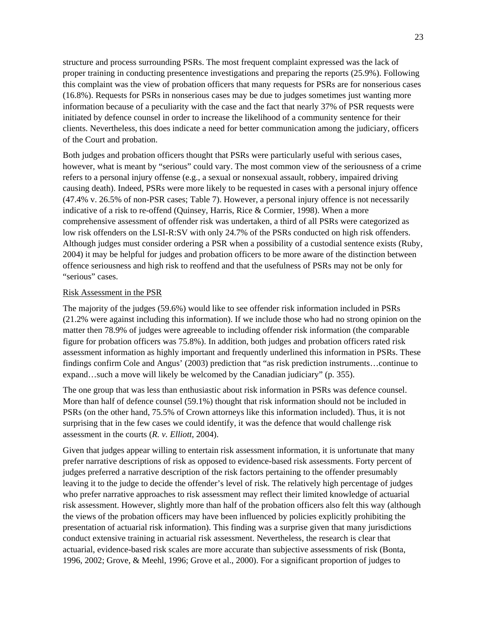structure and process surrounding PSRs. The most frequent complaint expressed was the lack of proper training in conducting presentence investigations and preparing the reports (25.9%). Following this complaint was the view of probation officers that many requests for PSRs are for nonserious cases (16.8%). Requests for PSRs in nonserious cases may be due to judges sometimes just wanting more information because of a peculiarity with the case and the fact that nearly 37% of PSR requests were initiated by defence counsel in order to increase the likelihood of a community sentence for their clients. Nevertheless, this does indicate a need for better communication among the judiciary, officers of the Court and probation.

Both judges and probation officers thought that PSRs were particularly useful with serious cases, however, what is meant by "serious" could vary. The most common view of the seriousness of a crime refers to a personal injury offense (e.g., a sexual or nonsexual assault, robbery, impaired driving causing death). Indeed, PSRs were more likely to be requested in cases with a personal injury offence (47.4% v. 26.5% of non-PSR cases; Table 7). However, a personal injury offence is not necessarily indicative of a risk to re-offend (Quinsey, Harris, Rice & Cormier, 1998). When a more comprehensive assessment of offender risk was undertaken, a third of all PSRs were categorized as low risk offenders on the LSI-R:SV with only 24.7% of the PSRs conducted on high risk offenders. Although judges must consider ordering a PSR when a possibility of a custodial sentence exists (Ruby, 2004) it may be helpful for judges and probation officers to be more aware of the distinction between offence seriousness and high risk to reoffend and that the usefulness of PSRs may not be only for "serious" cases.

#### Risk Assessment in the PSR

The majority of the judges (59.6%) would like to see offender risk information included in PSRs (21.2% were against including this information). If we include those who had no strong opinion on the matter then 78.9% of judges were agreeable to including offender risk information (the comparable figure for probation officers was 75.8%). In addition, both judges and probation officers rated risk assessment information as highly important and frequently underlined this information in PSRs. These findings confirm Cole and Angus' (2003) prediction that "as risk prediction instruments…continue to expand…such a move will likely be welcomed by the Canadian judiciary" (p. 355).

The one group that was less than enthusiastic about risk information in PSRs was defence counsel. More than half of defence counsel (59.1%) thought that risk information should not be included in PSRs (on the other hand, 75.5% of Crown attorneys like this information included). Thus, it is not surprising that in the few cases we could identify, it was the defence that would challenge risk assessment in the courts (*R. v. Elliott*, 2004).

Given that judges appear willing to entertain risk assessment information, it is unfortunate that many prefer narrative descriptions of risk as opposed to evidence-based risk assessments. Forty percent of judges preferred a narrative description of the risk factors pertaining to the offender presumably leaving it to the judge to decide the offender's level of risk. The relatively high percentage of judges who prefer narrative approaches to risk assessment may reflect their limited knowledge of actuarial risk assessment. However, slightly more than half of the probation officers also felt this way (although the views of the probation officers may have been influenced by policies explicitly prohibiting the presentation of actuarial risk information). This finding was a surprise given that many jurisdictions conduct extensive training in actuarial risk assessment. Nevertheless, the research is clear that actuarial, evidence-based risk scales are more accurate than subjective assessments of risk (Bonta, 1996, 2002; Grove, & Meehl, 1996; Grove et al., 2000). For a significant proportion of judges to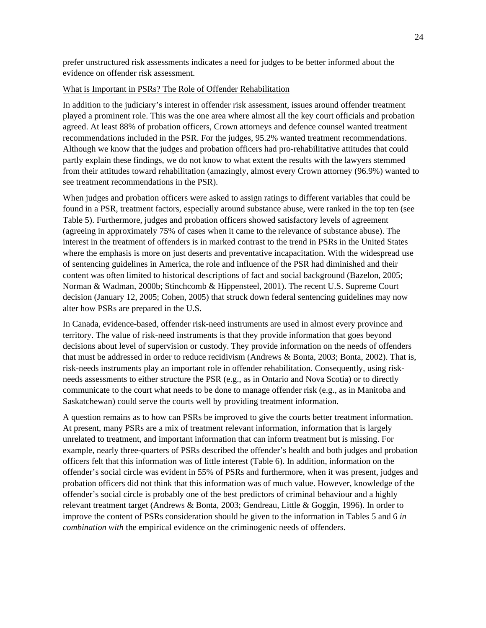prefer unstructured risk assessments indicates a need for judges to be better informed about the evidence on offender risk assessment.

## What is Important in PSRs? The Role of Offender Rehabilitation

In addition to the judiciary's interest in offender risk assessment, issues around offender treatment played a prominent role. This was the one area where almost all the key court officials and probation agreed. At least 88% of probation officers, Crown attorneys and defence counsel wanted treatment recommendations included in the PSR. For the judges, 95.2% wanted treatment recommendations. Although we know that the judges and probation officers had pro-rehabilitative attitudes that could partly explain these findings, we do not know to what extent the results with the lawyers stemmed from their attitudes toward rehabilitation (amazingly, almost every Crown attorney (96.9%) wanted to see treatment recommendations in the PSR).

When judges and probation officers were asked to assign ratings to different variables that could be found in a PSR, treatment factors, especially around substance abuse, were ranked in the top ten (see Table 5). Furthermore, judges and probation officers showed satisfactory levels of agreement (agreeing in approximately 75% of cases when it came to the relevance of substance abuse). The interest in the treatment of offenders is in marked contrast to the trend in PSRs in the United States where the emphasis is more on just deserts and preventative incapacitation. With the widespread use of sentencing guidelines in America, the role and influence of the PSR had diminished and their content was often limited to historical descriptions of fact and social background (Bazelon, 2005; Norman & Wadman, 2000b; Stinchcomb & Hippensteel, 2001). The recent U.S. Supreme Court decision (January 12, 2005; Cohen, 2005) that struck down federal sentencing guidelines may now alter how PSRs are prepared in the U.S.

In Canada, evidence-based, offender risk-need instruments are used in almost every province and territory. The value of risk-need instruments is that they provide information that goes beyond decisions about level of supervision or custody. They provide information on the needs of offenders that must be addressed in order to reduce recidivism (Andrews & Bonta, 2003; Bonta, 2002). That is, risk-needs instruments play an important role in offender rehabilitation. Consequently, using riskneeds assessments to either structure the PSR (e.g., as in Ontario and Nova Scotia) or to directly communicate to the court what needs to be done to manage offender risk (e.g., as in Manitoba and Saskatchewan) could serve the courts well by providing treatment information.

A question remains as to how can PSRs be improved to give the courts better treatment information. At present, many PSRs are a mix of treatment relevant information, information that is largely unrelated to treatment, and important information that can inform treatment but is missing. For example, nearly three-quarters of PSRs described the offender's health and both judges and probation officers felt that this information was of little interest (Table 6). In addition, information on the offender's social circle was evident in 55% of PSRs and furthermore, when it was present, judges and probation officers did not think that this information was of much value. However, knowledge of the offender's social circle is probably one of the best predictors of criminal behaviour and a highly relevant treatment target (Andrews & Bonta, 2003; Gendreau, Little & Goggin, 1996). In order to improve the content of PSRs consideration should be given to the information in Tables 5 and 6 *in combination with* the empirical evidence on the criminogenic needs of offenders.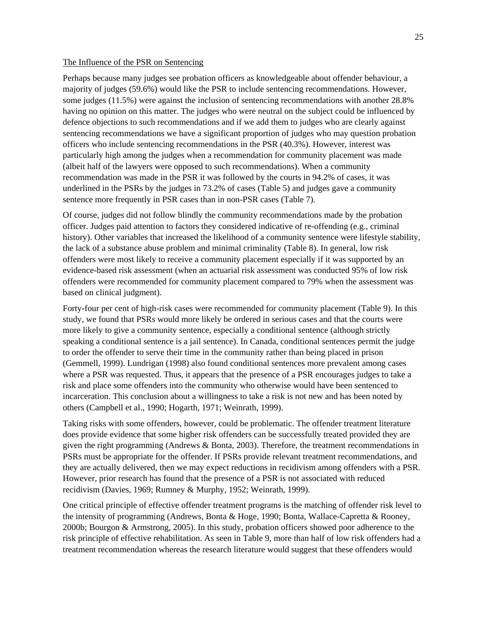#### The Influence of the PSR on Sentencing

Perhaps because many judges see probation officers as knowledgeable about offender behaviour, a majority of judges (59.6%) would like the PSR to include sentencing recommendations. However, some judges (11.5%) were against the inclusion of sentencing recommendations with another 28.8% having no opinion on this matter. The judges who were neutral on the subject could be influenced by defence objections to such recommendations and if we add them to judges who are clearly against sentencing recommendations we have a significant proportion of judges who may question probation officers who include sentencing recommendations in the PSR (40.3%). However, interest was particularly high among the judges when a recommendation for community placement was made (albeit half of the lawyers were opposed to such recommendations). When a community recommendation was made in the PSR it was followed by the courts in 94.2% of cases, it was underlined in the PSRs by the judges in 73.2% of cases (Table 5) and judges gave a community sentence more frequently in PSR cases than in non-PSR cases (Table 7).

Of course, judges did not follow blindly the community recommendations made by the probation officer. Judges paid attention to factors they considered indicative of re-offending (e.g., criminal history). Other variables that increased the likelihood of a community sentence were lifestyle stability, the lack of a substance abuse problem and minimal criminality (Table 8). In general, low risk offenders were most likely to receive a community placement especially if it was supported by an evidence-based risk assessment (when an actuarial risk assessment was conducted 95% of low risk offenders were recommended for community placement compared to 79% when the assessment was based on clinical judgment).

Forty-four per cent of high-risk cases were recommended for community placement (Table 9). In this study, we found that PSRs would more likely be ordered in serious cases and that the courts were more likely to give a community sentence, especially a conditional sentence (although strictly speaking a conditional sentence is a jail sentence). In Canada, conditional sentences permit the judge to order the offender to serve their time in the community rather than being placed in prison (Gemmell, 1999). Lundrigan (1998) also found conditional sentences more prevalent among cases where a PSR was requested. Thus, it appears that the presence of a PSR encourages judges to take a risk and place some offenders into the community who otherwise would have been sentenced to incarceration. This conclusion about a willingness to take a risk is not new and has been noted by others (Campbell et al., 1990; Hogarth, 1971; Weinrath, 1999).

Taking risks with some offenders, however, could be problematic. The offender treatment literature does provide evidence that some higher risk offenders can be successfully treated provided they are given the right programming (Andrews & Bonta, 2003). Therefore, the treatment recommendations in PSRs must be appropriate for the offender. If PSRs provide relevant treatment recommendations, and they are actually delivered, then we may expect reductions in recidivism among offenders with a PSR. However, prior research has found that the presence of a PSR is not associated with reduced recidivism (Davies, 1969; Rumney & Murphy, 1952; Weinrath, 1999).

One critical principle of effective offender treatment programs is the matching of offender risk level to the intensity of programming (Andrews, Bonta & Hoge, 1990; Bonta, Wallace-Capretta & Rooney, 2000b; Bourgon & Armstrong, 2005). In this study, probation officers showed poor adherence to the risk principle of effective rehabilitation. As seen in Table 9, more than half of low risk offenders had a treatment recommendation whereas the research literature would suggest that these offenders would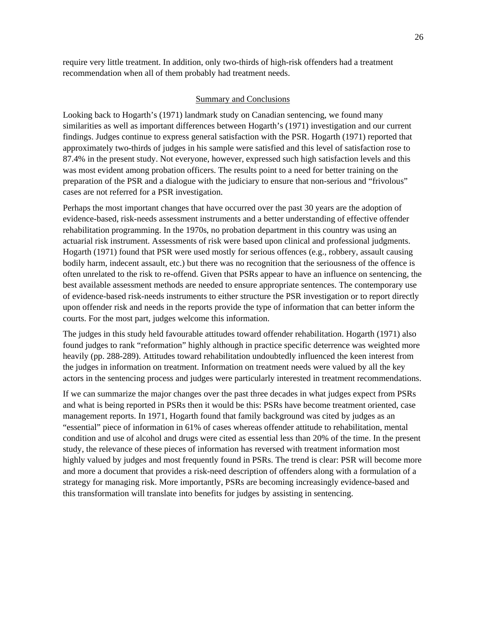require very little treatment. In addition, only two-thirds of high-risk offenders had a treatment recommendation when all of them probably had treatment needs.

#### Summary and Conclusions

Looking back to Hogarth's (1971) landmark study on Canadian sentencing, we found many similarities as well as important differences between Hogarth's (1971) investigation and our current findings. Judges continue to express general satisfaction with the PSR. Hogarth (1971) reported that approximately two-thirds of judges in his sample were satisfied and this level of satisfaction rose to 87.4% in the present study. Not everyone, however, expressed such high satisfaction levels and this was most evident among probation officers. The results point to a need for better training on the preparation of the PSR and a dialogue with the judiciary to ensure that non-serious and "frivolous" cases are not referred for a PSR investigation.

Perhaps the most important changes that have occurred over the past 30 years are the adoption of evidence-based, risk-needs assessment instruments and a better understanding of effective offender rehabilitation programming. In the 1970s, no probation department in this country was using an actuarial risk instrument. Assessments of risk were based upon clinical and professional judgments. Hogarth (1971) found that PSR were used mostly for serious offences (e.g., robbery, assault causing bodily harm, indecent assault, etc.) but there was no recognition that the seriousness of the offence is often unrelated to the risk to re-offend. Given that PSRs appear to have an influence on sentencing, the best available assessment methods are needed to ensure appropriate sentences. The contemporary use of evidence-based risk-needs instruments to either structure the PSR investigation or to report directly upon offender risk and needs in the reports provide the type of information that can better inform the courts. For the most part, judges welcome this information.

The judges in this study held favourable attitudes toward offender rehabilitation. Hogarth (1971) also found judges to rank "reformation" highly although in practice specific deterrence was weighted more heavily (pp. 288-289). Attitudes toward rehabilitation undoubtedly influenced the keen interest from the judges in information on treatment. Information on treatment needs were valued by all the key actors in the sentencing process and judges were particularly interested in treatment recommendations.

If we can summarize the major changes over the past three decades in what judges expect from PSRs and what is being reported in PSRs then it would be this: PSRs have become treatment oriented, case management reports. In 1971, Hogarth found that family background was cited by judges as an "essential" piece of information in 61% of cases whereas offender attitude to rehabilitation, mental condition and use of alcohol and drugs were cited as essential less than 20% of the time. In the present study, the relevance of these pieces of information has reversed with treatment information most highly valued by judges and most frequently found in PSRs. The trend is clear: PSR will become more and more a document that provides a risk-need description of offenders along with a formulation of a strategy for managing risk. More importantly, PSRs are becoming increasingly evidence-based and this transformation will translate into benefits for judges by assisting in sentencing.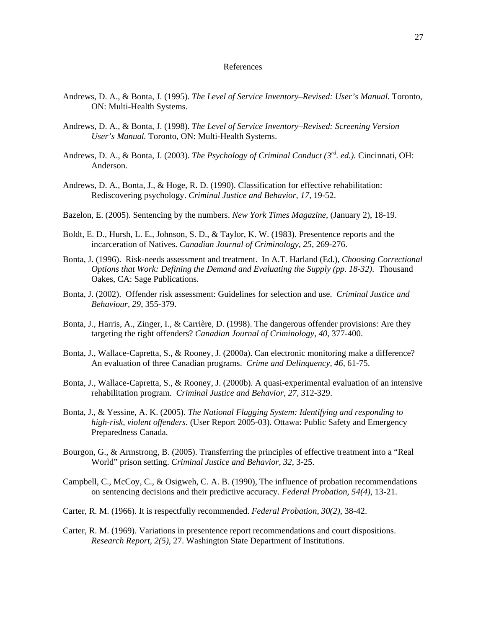#### References

- Andrews, D. A., & Bonta, J. (1995). *The Level of Service Inventory–Revised: User's Manual.* Toronto, ON: Multi-Health Systems.
- Andrews, D. A., & Bonta, J. (1998). *The Level of Service Inventory–Revised: Screening Version User's Manual.* Toronto, ON: Multi-Health Systems.
- Andrews, D. A., & Bonta, J. (2003). *The Psychology of Criminal Conduct (3rd. ed.).* Cincinnati, OH: Anderson.
- Andrews, D. A., Bonta, J., & Hoge, R. D. (1990). Classification for effective rehabilitation: Rediscovering psychology. *Criminal Justice and Behavior, 17,* 19-52.
- Bazelon, E. (2005). Sentencing by the numbers. *New York Times Magazine,* (January 2), 18-19.
- Boldt, E. D., Hursh, L. E., Johnson, S. D., & Taylor, K. W. (1983). Presentence reports and the incarceration of Natives. *Canadian Journal of Criminology, 25,* 269-276.
- Bonta, J. (1996). Risk-needs assessment and treatment. In A.T. Harland (Ed.), *Choosing Correctional Options that Work: Defining the Demand and Evaluating the Supply (pp. 18-32)*. Thousand Oakes, CA: Sage Publications.
- Bonta, J. (2002). Offender risk assessment: Guidelines for selection and use. *Criminal Justice and Behaviour, 29*, 355-379.
- Bonta, J., Harris, A., Zinger, I., & Carrière, D. (1998). The dangerous offender provisions: Are they targeting the right offenders? *Canadian Journal of Criminology, 40,* 377-400.
- Bonta, J., Wallace-Capretta, S., & Rooney, J. (2000a). Can electronic monitoring make a difference? An evaluation of three Canadian programs. *Crime and Delinquency, 46,* 61-75.
- Bonta, J., Wallace-Capretta, S., & Rooney, J. (2000b). A quasi-experimental evaluation of an intensive rehabilitation program. *Criminal Justice and Behavior, 27,* 312-329.
- Bonta, J., & Yessine, A. K. (2005). *The National Flagging System: Identifying and responding to high-risk, violent offenders.* (User Report 2005-03). Ottawa: Public Safety and Emergency Preparedness Canada.
- Bourgon, G., & Armstrong, B. (2005). Transferring the principles of effective treatment into a "Real World" prison setting. *Criminal Justice and Behavior, 32*, 3-25.
- Campbell, C., McCoy, C., & Osigweh, C. A. B. (1990), The influence of probation recommendations on sentencing decisions and their predictive accuracy. *Federal Probation, 54(4)*, 13-21.
- Carter, R. M. (1966). It is respectfully recommended. *Federal Probation*, *30(2)*, 38-42.
- Carter, R. M. (1969). Variations in presentence report recommendations and court dispositions. *Research Report, 2(5)*, 27. Washington State Department of Institutions.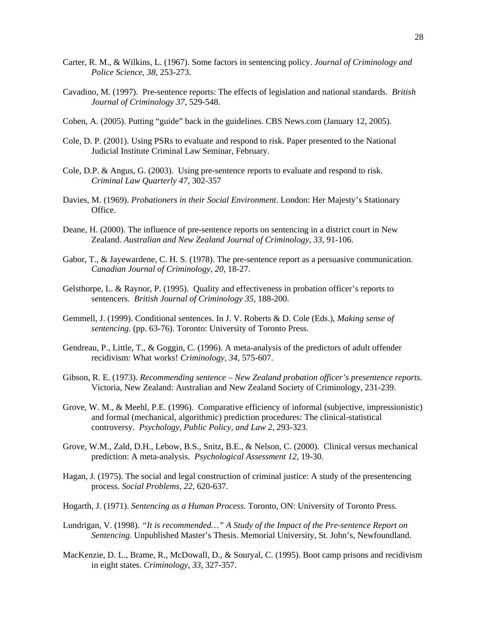- Carter, R. M., & Wilkins, L. (1967). Some factors in sentencing policy. *Journal of Criminology and Police Science, 38*, 253-273.
- Cavadino, M. (1997). Pre-sentence reports: The effects of legislation and national standards. *British Journal of Criminology 37*, 529-548.
- Cohen, A. (2005). Putting "guide" back in the guidelines. CBS News.com (January 12, 2005).
- Cole, D. P. (2001). Using PSRs to evaluate and respond to risk. Paper presented to the National Judicial Institute Criminal Law Seminar, February.
- Cole, D.P. & Angus, G. (2003). Using pre-sentence reports to evaluate and respond to risk. *Criminal Law Quarterly 47*, 302-357
- Davies, M. (1969). *Probationers in their Social Environment*. London: Her Majesty's Stationary Office.
- Deane, H. (2000). The influence of pre-sentence reports on sentencing in a district court in New Zealand. *Australian and New Zealand Journal of Criminology, 33*, 91-106.
- Gabor, T., & Jayewardene, C. H. S. (1978). The pre-sentence report as a persuasive communication. *Canadian Journal of Criminology, 20*, 18-27.
- Gelsthorpe, L. & Raynor, P. (1995). Quality and effectiveness in probation officer's reports to sentencers. *British Journal of Criminology 35*, 188-200.
- Gemmell, J. (1999). Conditional sentences. In J. V. Roberts & D. Cole (Eds.), *Making sense of sentencing.* (pp. 63-76). Toronto: University of Toronto Press.
- Gendreau, P., Little, T., & Goggin, C. (1996). A meta-analysis of the predictors of adult offender recidivism: What works! *Criminology, 34*, 575-607.
- Gibson, R. E. (1973). *Recommending sentence New Zealand probation officer's presentence reports.* Victoria, New Zealand: Australian and New Zealand Society of Criminology, 231-239.
- Grove, W. M., & Meehl, P.E. (1996). Comparative efficiency of informal (subjective, impressionistic) and formal (mechanical, algorithmic) prediction procedures: The clinical-statistical controversy. *Psychology, Public Policy, and Law 2*, 293-323.
- Grove, W.M., Zald, D.H., Lebow, B.S., Snitz, B.E., & Nelson, C. (2000). Clinical versus mechanical prediction: A meta-analysis. *Psychological Assessment 12*, 19-30.
- Hagan, J. (1975). The social and legal construction of criminal justice: A study of the presentencing process. *Social Problems, 22*, 620-637.
- Hogarth, J. (1971). *Sentencing as a Human Process*. Toronto, ON: University of Toronto Press.
- Lundrigan, V. (1998). *"It is recommended…" A Study of the Impact of the Pre-sentence Report on Sentencing*. Unpublished Master's Thesis. Memorial University, St. John's, Newfoundland.
- MacKenzie, D. L., Brame, R., McDowall, D., & Souryal, C. (1995). Boot camp prisons and recidivism in eight states. *Criminology, 33*, 327-357.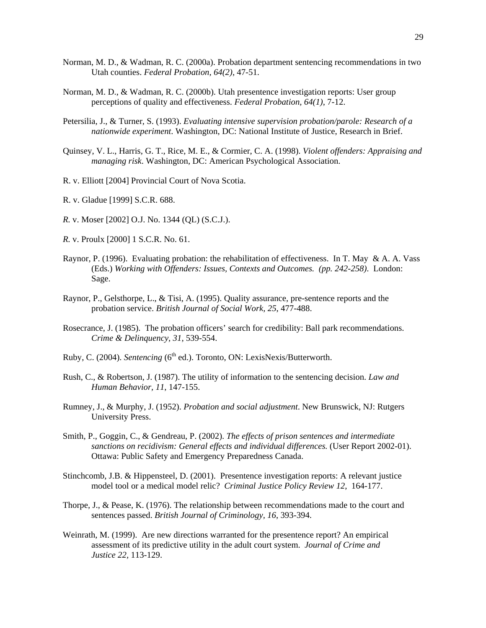- Norman, M. D., & Wadman, R. C. (2000a). Probation department sentencing recommendations in two Utah counties. *Federal Probation, 64(2)*, 47-51.
- Norman, M. D., & Wadman, R. C. (2000b). Utah presentence investigation reports: User group perceptions of quality and effectiveness. *Federal Probation, 64(1)*, 7-12.
- Petersilia, J., & Turner, S. (1993). *Evaluating intensive supervision probation/parole: Research of a nationwide experiment*. Washington, DC: National Institute of Justice, Research in Brief.
- Quinsey, V. L., Harris, G. T., Rice, M. E., & Cormier, C. A. (1998). *Violent offenders: Appraising and managing risk*. Washington, DC: American Psychological Association.
- R. v. Elliott [2004] Provincial Court of Nova Scotia.
- R. v. Gladue [1999] S.C.R. 688.
- *R.* v. Moser [2002] O.J. No. 1344 (QL) (S.C.J.).
- *R.* v. Proulx [2000] 1 S.C.R. No. 61.
- Raynor, P. (1996). Evaluating probation: the rehabilitation of effectiveness. In T. May & A. A. Vass (Eds.) *Working with Offenders: Issues, Contexts and Outcomes. (pp. 242-258)*. London: Sage.
- Raynor, P., Gelsthorpe, L., & Tisi, A. (1995). Quality assurance, pre-sentence reports and the probation service. *British Journal of Social Work, 25*, 477-488.
- Rosecrance, J. (1985). The probation officers' search for credibility: Ball park recommendations. *Crime & Delinquency, 31*, 539-554.
- Ruby, C. (2004). *Sentencing* (6<sup>th</sup> ed.). Toronto, ON: LexisNexis/Butterworth.
- Rush, C., & Robertson, J. (1987). The utility of information to the sentencing decision. *Law and Human Behavior, 11*, 147-155.
- Rumney, J., & Murphy, J. (1952). *Probation and social adjustment*. New Brunswick, NJ: Rutgers University Press.
- Smith, P., Goggin, C., & Gendreau, P. (2002). *The effects of prison sentences and intermediate sanctions on recidivism: General effects and individual differences.* (User Report 2002-01). Ottawa: Public Safety and Emergency Preparedness Canada.
- Stinchcomb, J.B. & Hippensteel, D. (2001). Presentence investigation reports: A relevant justice model tool or a medical model relic? *Criminal Justice Policy Review 12*, 164-177.
- Thorpe, J., & Pease, K. (1976). The relationship between recommendations made to the court and sentences passed. *British Journal of Criminology, 16*, 393-394.
- Weinrath, M. (1999). Are new directions warranted for the presentence report? An empirical assessment of its predictive utility in the adult court system. *Journal of Crime and Justice 22,* 113-129.